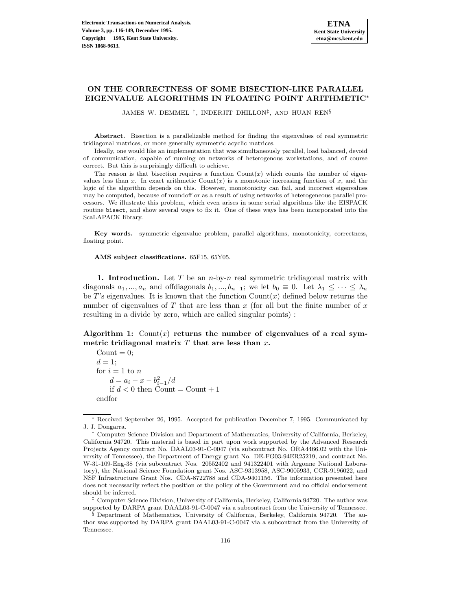# **ON THE CORRECTNESS OF SOME BISECTION-LIKE PARALLEL EIGENVALUE ALGORITHMS IN FLOATING POINT ARITHMETIC**<sup>∗</sup>

JAMES W. DEMMEL †, INDERJIT DHILLON‡, AND HUAN REN§

**Abstract.** Bisection is a parallelizable method for finding the eigenvalues of real symmetric tridiagonal matrices, or more generally symmetric acyclic matrices.

Ideally, one would like an implementation that was simultaneously parallel, load balanced, devoid of communication, capable of running on networks of heterogenous workstations, and of course correct. But this is surprisingly difficult to achieve.

The reason is that bisection requires a function  $Count(x)$  which counts the number of eigenvalues less than x. In exact arithmetic Count $(x)$  is a monotonic increasing function of x, and the logic of the algorithm depends on this. However, monotonicity can fail, and incorrect eigenvalues may be computed, because of roundoff or as a result of using networks of heterogeneous parallel processors. We illustrate this problem, which even arises in some serial algorithms like the EISPACK routine bisect, and show several ways to fix it. One of these ways has been incorporated into the ScaLAPACK library.

**Key words.** symmetric eigenvalue problem, parallel algorithms, monotonicity, correctness, floating point.

**AMS subject classifications.** 65F15, 65Y05.

**1. Introduction.** Let T be an n-by-n real symmetric tridiagonal matrix with diagonals  $a_1,...,a_n$  and offdiagonals  $b_1,...,b_{n-1}$ ; we let  $b_0 \equiv 0$ . Let  $\lambda_1 \leq \cdots \leq \lambda_n$ be T's eigenvalues. It is known that the function  $Count(x)$  defined below returns the number of eigenvalues of  $T$  that are less than  $x$  (for all but the finite number of  $x$ resulting in a divide by zero, which are called singular points) :

Algorithm 1:  $Count(x)$  returns the number of eigenvalues of a real sym**metric tridiagonal matrix** T **that are less than** x**.**

 $Count = 0$ ;  $d=1$ : for  $i = 1$  to  $n$  $d = a_i - x - b_{i-1}^2/d$ if  $d < 0$  then Count = Count + 1 endfor

<sup>∗</sup> Received September 26, 1995. Accepted for publication December 7, 1995. Communicated by J. J. Dongarra.

<sup>†</sup> Computer Science Division and Department of Mathematics, University of California, Berkeley, California 94720. This material is based in part upon work supported by the Advanced Research Projects Agency contract No. DAAL03-91-C-0047 (via subcontract No. ORA4466.02 with the University of Tennessee), the Department of Energy grant No. DE-FG03-94ER25219, and contract No. W-31-109-Eng-38 (via subcontract Nos. 20552402 and 941322401 with Argonne National Laboratory), the National Science Foundation grant Nos. ASC-9313958, ASC-9005933, CCR-9196022, and NSF Infrastructure Grant Nos. CDA-8722788 and CDA-9401156. The information presented here does not necessarily reflect the position or the policy of the Government and no official endorsement should be inferred.

<sup>‡</sup> Computer Science Division, University of California, Berkeley, California 94720. The author was supported by DARPA grant DAAL03-91-C-0047 via a subcontract from the University of Tennessee.

<sup>§</sup> Department of Mathematics, University of California, Berkeley, California 94720. The author was supported by DARPA grant DAAL03-91-C-0047 via a subcontract from the University of Tennessee.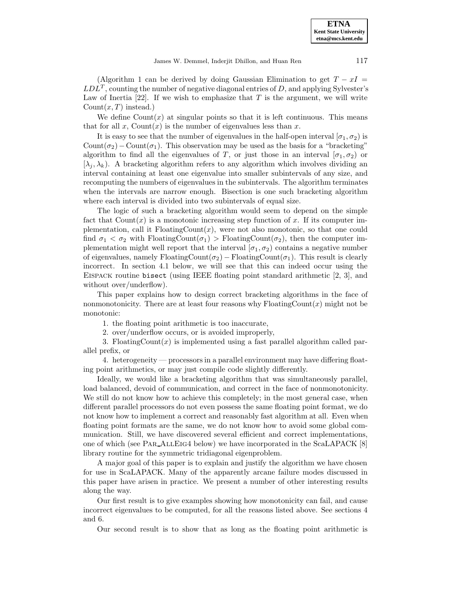**ETNA Kent State University etna@mcs.kent.edu**

(Algorithm 1 can be derived by doing Gaussian Elimination to get  $T - xI =$  $LDL<sup>T</sup>$ , counting the number of negative diagonal entries of D, and applying Sylvester's Law of Inertia  $[22]$ . If we wish to emphasize that T is the argument, we will write  $Count(x, T)$  instead.)

We define  $Count(x)$  at singular points so that it is left continuous. This means that for all x, Count $(x)$  is the number of eigenvalues less than x.

It is easy to see that the number of eigenvalues in the half-open interval  $[\sigma_1, \sigma_2)$  is Count( $\sigma_2$ ) – Count( $\sigma_1$ ). This observation may be used as the basis for a "bracketing" algorithm to find all the eigenvalues of T, or just those in an interval  $[\sigma_1,\sigma_2]$  or  $[\lambda_i, \lambda_k]$ . A bracketing algorithm refers to any algorithm which involves dividing an interval containing at least one eigenvalue into smaller subintervals of any size, and recomputing the numbers of eigenvalues in the subintervals. The algorithm terminates when the intervals are narrow enough. Bisection is one such bracketing algorithm where each interval is divided into two subintervals of equal size.

The logic of such a bracketing algorithm would seem to depend on the simple fact that  $Count(x)$  is a monotonic increasing step function of x. If its computer implementation, call it  $F$ loating $Count(x)$ , were not also monotonic, so that one could find  $\sigma_1 < \sigma_2$  with FloatingCount $(\sigma_1)$  > FloatingCount $(\sigma_2)$ , then the computer implementation might well report that the interval  $[\sigma_1, \sigma_2]$  contains a negative number of eigenvalues, namely FloatingCount( $\sigma_2$ ) – FloatingCount( $\sigma_1$ ). This result is clearly incorrect. In section 4.1 below, we will see that this can indeed occur using the Eispack routine bisect (using IEEE floating point standard arithmetic [2, 3], and without over/underflow).

This paper explains how to design correct bracketing algorithms in the face of nonmonotonicity. There are at least four reasons why  $F$ loatingCount $(x)$  might not be monotonic:

1. the floating point arithmetic is too inaccurate,

2. over/underflow occurs, or is avoided improperly,

3. FloatingCount $(x)$  is implemented using a fast parallel algorithm called parallel prefix, or

4. heterogeneity — processors in a parallel environment may have differing floating point arithmetics, or may just compile code slightly differently.

Ideally, we would like a bracketing algorithm that was simultaneously parallel, load balanced, devoid of communication, and correct in the face of nonmonotonicity. We still do not know how to achieve this completely; in the most general case, when different parallel processors do not even possess the same floating point format, we do not know how to implement a correct and reasonably fast algorithm at all. Even when floating point formats are the same, we do not know how to avoid some global communication. Still, we have discovered several efficient and correct implementations, one of which (see PAR\_ALLEIG4 below) we have incorporated in the ScaLAPACK [8] library routine for the symmetric tridiagonal eigenproblem.

A major goal of this paper is to explain and justify the algorithm we have chosen for use in ScaLAPACK. Many of the apparently arcane failure modes discussed in this paper have arisen in practice. We present a number of other interesting results along the way.

Our first result is to give examples showing how monotonicity can fail, and cause incorrect eigenvalues to be computed, for all the reasons listed above. See sections 4 and 6.

Our second result is to show that as long as the floating point arithmetic is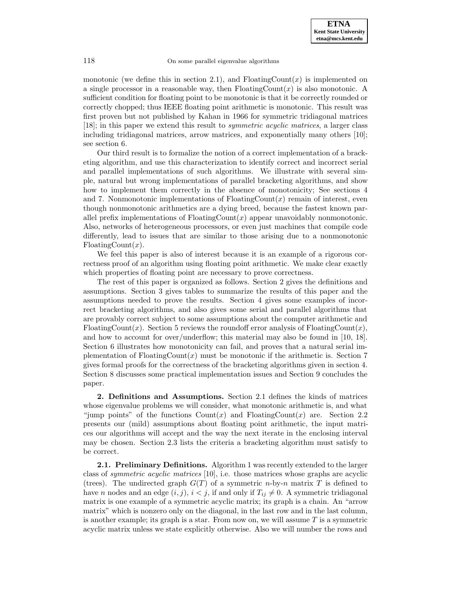monotonic (we define this in section 2.1), and  $\text{FloatingCount}(x)$  is implemented on a single processor in a reasonable way, then  $F$ loatingCount $(x)$  is also monotonic. A sufficient condition for floating point to be monotonic is that it be correctly rounded or correctly chopped; thus IEEE floating point arithmetic is monotonic. This result was first proven but not published by Kahan in 1966 for symmetric tridiagonal matrices [18]; in this paper we extend this result to symmetric acyclic matrices, a larger class including tridiagonal matrices, arrow matrices, and exponentially many others [10]; see section 6.

Our third result is to formalize the notion of a correct implementation of a bracketing algorithm, and use this characterization to identify correct and incorrect serial and parallel implementations of such algorithms. We illustrate with several simple, natural but wrong implementations of parallel bracketing algorithms, and show how to implement them correctly in the absence of monotonicity; See sections 4 and 7. Nonmonotonic implementations of  $F$ loatingCount $(x)$  remain of interest, even though nonmonotonic arithmetics are a dying breed, because the fastest known parallel prefix implementations of  $\text{FloatingCount}(x)$  appear unavoidably nonmonotonic. Also, networks of heterogeneous processors, or even just machines that compile code differently, lead to issues that are similar to those arising due to a nonmonotonic FloatingCount $(x)$ .

We feel this paper is also of interest because it is an example of a rigorous correctness proof of an algorithm using floating point arithmetic. We make clear exactly which properties of floating point are necessary to prove correctness.

The rest of this paper is organized as follows. Section 2 gives the definitions and assumptions. Section 3 gives tables to summarize the results of this paper and the assumptions needed to prove the results. Section 4 gives some examples of incorrect bracketing algorithms, and also gives some serial and parallel algorithms that are provably correct subject to some assumptions about the computer arithmetic and FloatingCount(x). Section 5 reviews the roundoff error analysis of FloatingCount(x), and how to account for over/underflow; this material may also be found in [10, 18]. Section 6 illustrates how monotonicity can fail, and proves that a natural serial implementation of  $F_{\text{loadingCount}}(x)$  must be monotonic if the arithmetic is. Section 7 gives formal proofs for the correctness of the bracketing algorithms given in section 4. Section 8 discusses some practical implementation issues and Section 9 concludes the paper.

**2. Definitions and Assumptions.** Section 2.1 defines the kinds of matrices whose eigenvalue problems we will consider, what monotonic arithmetic is, and what "jump points" of the functions  $Count(x)$  and  $FloatingCount(x)$  are. Section 2.2 presents our (mild) assumptions about floating point arithmetic, the input matrices our algorithms will accept and the way the next iterate in the enclosing interval may be chosen. Section 2.3 lists the criteria a bracketing algorithm must satisfy to be correct.

**2.1. Preliminary Definitions.** Algorithm 1 was recently extended to the larger class of symmetric acyclic matrices [10], i.e. those matrices whose graphs are acyclic (trees). The undirected graph  $G(T)$  of a symmetric n-by-n matrix T is defined to have n nodes and an edge  $(i, j)$ ,  $i < j$ , if and only if  $T_{ij} \neq 0$ . A symmetric tridiagonal matrix is one example of a symmetric acyclic matrix; its graph is a chain. An "arrow matrix" which is nonzero only on the diagonal, in the last row and in the last column, is another example; its graph is a star. From now on, we will assume  $T$  is a symmetric acyclic matrix unless we state explicitly otherwise. Also we will number the rows and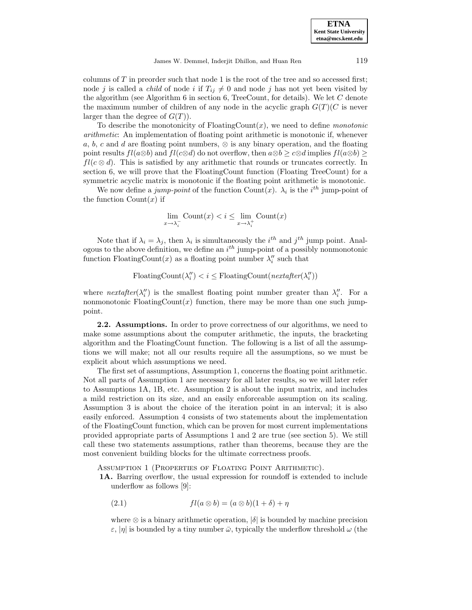**ETNA Kent State University etna@mcs.kent.edu**

James W. Demmel, Inderjit Dhillon, and Huan Ren 119

columns of  $T$  in preorder such that node 1 is the root of the tree and so accessed first; node j is called a *child* of node i if  $T_{ij} \neq 0$  and node j has not yet been visited by the algorithm (see Algorithm  $6$  in section  $6$ , TreeCount, for details). We let  $C$  denote the maximum number of children of any node in the acyclic graph  $G(T)(C)$  is never larger than the degree of  $G(T)$ ).

To describe the monotonicity of  $F$ loatingCount $(x)$ , we need to define *monotonic* arithmetic: An implementation of floating point arithmetic is monotonic if, whenever a, b, c and d are floating point numbers,  $\otimes$  is any binary operation, and the floating point results  $fl(a\otimes b)$  and  $fl(c\otimes d)$  do not overflow, then  $a\otimes b \geq c\otimes d$  implies  $fl(a\otimes b) \geq$  $fl(c \otimes d)$ . This is satisfied by any arithmetic that rounds or truncates correctly. In section 6, we will prove that the FloatingCount function (Floating TreeCount) for a symmetric acyclic matrix is monotonic if the floating point arithmetic is monotonic.

We now define a jump-point of the function Count $(x)$ .  $\lambda_i$  is the i<sup>th</sup> jump-point of the function  $Count(x)$  if

$$
\lim_{x \to \lambda_i^-} \text{Count}(x) < i \leq \lim_{x \to \lambda_i^+} \text{Count}(x)
$$

Note that if  $\lambda_i = \lambda_j$ , then  $\lambda_i$  is simultaneously the  $i^{th}$  and  $j^{th}$  jump point. Analogous to the above definition, we define an  $i^{th}$  jump-point of a possibly nonmonotonic function FloatingCount(x) as a floating point number  $\lambda_i''$  such that

$$
FloadingCount(\lambda_i'') < i \leq FloadingCount(nextafter(\lambda_i''))
$$

where  $nextafter(\lambda_i^{\prime\prime})$  is the smallest floating point number greater than  $\lambda_i^{\prime\prime}$ . For a nonmonotonic FloatingCount $(x)$  function, there may be more than one such jumppoint.

**2.2. Assumptions.** In order to prove correctness of our algorithms, we need to make some assumptions about the computer arithmetic, the inputs, the bracketing algorithm and the FloatingCount function. The following is a list of all the assumptions we will make; not all our results require all the assumptions, so we must be explicit about which assumptions we need.

The first set of assumptions, Assumption 1, concerns the floating point arithmetic. Not all parts of Assumption 1 are necessary for all later results, so we will later refer to Assumptions 1A, 1B, etc. Assumption 2 is about the input matrix, and includes a mild restriction on its size, and an easily enforceable assumption on its scaling. Assumption 3 is about the choice of the iteration point in an interval; it is also easily enforced. Assumption 4 consists of two statements about the implementation of the FloatingCount function, which can be proven for most current implementations provided appropriate parts of Assumptions 1 and 2 are true (see section 5). We still call these two statements assumptions, rather than theorems, because they are the most convenient building blocks for the ultimate correctness proofs.

ASSUMPTION 1 (PROPERTIES OF FLOATING POINT ARITHMETIC).

**1A.** Barring overflow, the usual expression for roundoff is extended to include underflow as follows [9]:

(2.1) 
$$
fl(a \otimes b) = (a \otimes b)(1 + \delta) + \eta
$$

where  $\otimes$  is a binary arithmetic operation,  $|\delta|$  is bounded by machine precision  $\varepsilon$ ,  $|\eta|$  is bounded by a tiny number  $\bar{\omega}$ , typically the underflow threshold  $\omega$  (the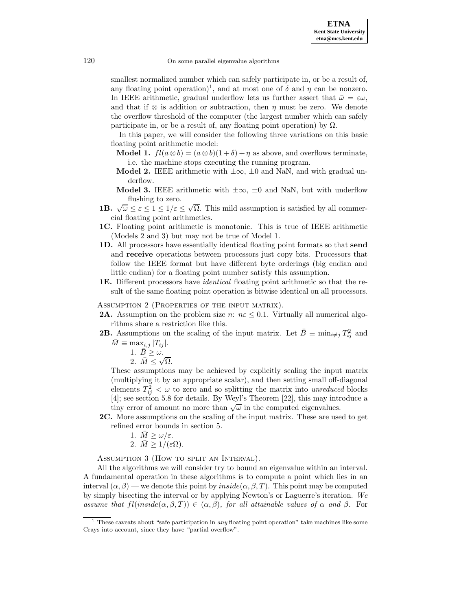smallest normalized number which can safely participate in, or be a result of, any floating point operation)<sup>1</sup>, and at most one of  $\delta$  and  $\eta$  can be nonzero. In IEEE arithmetic, gradual underflow lets us further assert that  $\bar{\omega} = \varepsilon \omega$ , and that if  $\otimes$  is addition or subtraction, then  $\eta$  must be zero. We denote the overflow threshold of the computer (the largest number which can safely participate in, or be a result of, any floating point operation) by  $\Omega$ .

In this paper, we will consider the following three variations on this basic floating point arithmetic model:

- **Model 1.**  $fl(a \otimes b) = (a \otimes b)(1 + \delta) + \eta$  as above, and overflows terminate, i.e. the machine stops executing the running program.
- **Model 2.** IEEE arithmetic with  $\pm \infty$ ,  $\pm 0$  and NaN, and with gradual underflow.
- **Model 3.** IEEE arithmetic with  $\pm \infty$ ,  $\pm 0$  and NaN, but with underflow flushing to zero.
- **1B.**  $\sqrt{\omega} \leq \varepsilon \leq 1 \leq 1/\varepsilon \leq \sqrt{\Omega}$ . This mild assumption is satisfied by all commercial floating point arithmetics.
- **1C.** Floating point arithmetic is monotonic. This is true of IEEE arithmetic (Models 2 and 3) but may not be true of Model 1.
- **1D.** All processors have essentially identical floating point formats so that **send** and **receive** operations between processors just copy bits. Processors that follow the IEEE format but have different byte orderings (big endian and little endian) for a floating point number satisfy this assumption.
- **1E.** Different processors have identical floating point arithmetic so that the result of the same floating point operation is bitwise identical on all processors.

Assumption 2 (Properties of the input matrix).

- **2A.** Assumption on the problem size n:  $n \in \mathcal{L}$  6.1. Virtually all numerical algorithms share a restriction like this.
- **2B.** Assumptions on the scaling of the input matrix. Let  $\bar{B} \equiv \min_{i \neq j} T_{ij}^2$  and  $\overline{M} \equiv \max_{i,j} |T_{ij}|.$

1. 
$$
\overline{B} \geq \omega
$$
.

1.  $B \geq \omega$ .<br>2.  $\overline{M} \leq \sqrt{\Omega}$ .

These assumptions may be achieved by explicitly scaling the input matrix (multiplying it by an appropriate scalar), and then setting small off-diagonal elements  $T_{ij}^2 < \omega$  to zero and so splitting the matrix into unreduced blocks [4]; see section 5.8 for details. By Weyl's Theorem [22], this may introduce a tiny error of amount no more than  $\sqrt{\omega}$  in the computed eigenvalues.

**2C.** More assumptions on the scaling of the input matrix. These are used to get refined error bounds in section 5.

1. 
$$
\overline{M} \ge \omega/\varepsilon
$$
.

2. 
$$
\overline{M} \geq 1/(\varepsilon \Omega)
$$
.

Assumption 3 (How to split an Interval).

All the algorithms we will consider try to bound an eigenvalue within an interval. A fundamental operation in these algorithms is to compute a point which lies in an interval  $(\alpha, \beta)$  — we denote this point by *inside*( $\alpha, \beta, T$ ). This point may be computed by simply bisecting the interval or by applying Newton's or Laguerre's iteration. We assume that  $fl(inside(\alpha, \beta, T)) \in (\alpha, \beta)$ , for all attainable values of  $\alpha$  and  $\beta$ . For

<sup>&</sup>lt;sup>1</sup> These caveats about "safe participation in *any* floating point operation" take machines like some Crays into account, since they have "partial overflow".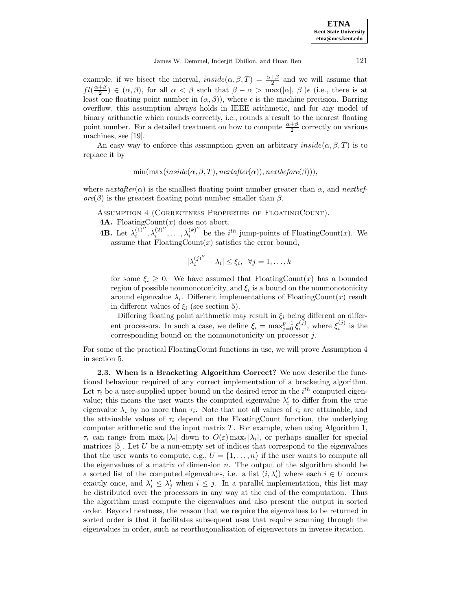example, if we bisect the interval,  $inside(\alpha, \beta, T) = \frac{\alpha + \beta}{2}$  and we will assume that  $fl(\frac{\alpha+\beta}{2}) \in (\alpha,\beta)$ , for all  $\alpha < \beta$  such that  $\beta-\alpha > \max(|\alpha|,|\beta|)\epsilon$  (i.e., there is at least one floating point number in  $(\alpha, \beta)$ , where  $\epsilon$  is the machine precision. Barring overflow, this assumption always holds in IEEE arithmetic, and for any model of binary arithmetic which rounds correctly, i.e., rounds a result to the nearest floating point number. For a detailed treatment on how to compute  $\frac{\alpha+\beta}{2}$  correctly on various machines, see [19].

An easy way to enforce this assumption given an arbitrary  $inside(\alpha, \beta, T)$  is to replace it by

$$
min(max(inside(\alpha, \beta, T), nextafter(\alpha)), nextbefore(\beta))),
$$

where  $nextafter(\alpha)$  is the smallest floating point number greater than  $\alpha$ , and nextbef $ore(\beta)$  is the greatest floating point number smaller than  $\beta$ .

Assumption 4 (Correctness Properties of FloatingCount).

**4A.** FloatingCount $(x)$  does not abort.

**4B.** Let  $\lambda_i^{(1)''}, \lambda_i^{(2)''}, \ldots, \lambda_i^{(k)''}$  be the *i*<sup>th</sup> jump-points of FloatingCount(x). We assume that  $\text{FloatingCount}(x)$  satisfies the error bound,

$$
|\lambda_i^{(j)''} - \lambda_i| \le \xi_i, \ \ \forall j = 1, \dots, k
$$

for some  $\xi_i \geq 0$ . We have assumed that FloatingCount(x) has a bounded region of possible nonmonotonicity, and  $\xi_i$  is a bound on the nonmonotonicity around eigenvalue  $\lambda_i$ . Different implementations of FloatingCount(x) result in different values of  $\xi_i$  (see section 5).

Differing floating point arithmetic may result in  $\xi_i$  being different on different processors. In such a case, we define  $\xi_i = \max_{j=0}^{p-1} \xi_i^{(j)}$ , where  $\xi_i^{(j)}$  is the corresponding bound on the nonmonotonicity on processor j.

For some of the practical FloatingCount functions in use, we will prove Assumption 4 in section 5.

**2.3. When is a Bracketing Algorithm Correct?.** We now describe the functional behaviour required of any correct implementation of a bracketing algorithm. Let  $\tau_i$  be a user-supplied upper bound on the desired error in the  $i^{th}$  computed eigenvalue; this means the user wants the computed eigenvalue  $\lambda'_{i}$  to differ from the true eigenvalue  $\lambda_i$  by no more than  $\tau_i$ . Note that not all values of  $\tau_i$  are attainable, and the attainable values of  $\tau_i$  depend on the FloatingCount function, the underlying computer arithmetic and the input matrix  $T$ . For example, when using Algorithm 1,  $\tau_i$  can range from  $\max_i |\lambda_i|$  down to  $O(\varepsilon)$  max<sub>i</sub>  $|\lambda_i|$ , or perhaps smaller for special matrices  $[5]$ . Let U be a non-empty set of indices that correspond to the eigenvalues that the user wants to compute, e.g.,  $U = \{1, \ldots, n\}$  if the user wants to compute all the eigenvalues of a matrix of dimension  $n$ . The output of the algorithm should be a sorted list of the computed eigenvalues, i.e. a list  $(i, \lambda'_i)$  where each  $i \in U$  occurs exactly once, and  $\lambda'_i \leq \lambda'_j$  when  $i \leq j$ . In a parallel implementation, this list may be distributed over the processors in any way at the end of the computation. Thus the algorithm must compute the eigenvalues and also present the output in sorted order. Beyond neatness, the reason that we require the eigenvalues to be returned in sorted order is that it facilitates subsequent uses that require scanning through the eigenvalues in order, such as reorthogonalization of eigenvectors in inverse iteration.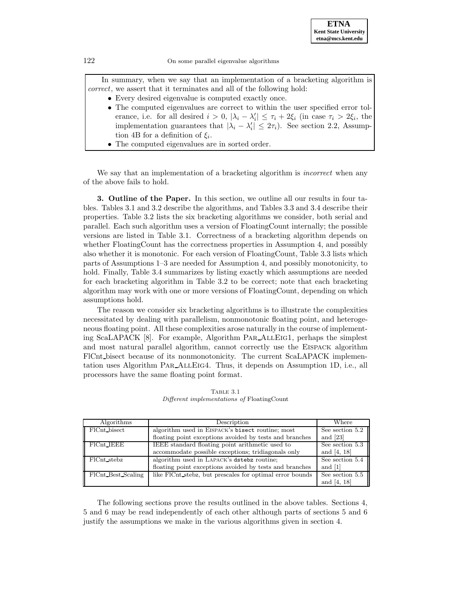In summary, when we say that an implementation of a bracketing algorithm is correct, we assert that it terminates and all of the following hold:

- Every desired eigenvalue is computed exactly once.
- The computed eigenvalues are correct to within the user specified error tolerance, i.e. for all desired  $i > 0$ ,  $|\lambda_i - \lambda'_i| \leq \tau_i + 2\xi_i$  (in case  $\tau_i > 2\xi_i$ , the implementation guarantees that  $|\lambda_i - \lambda'_i| \leq 2\tau_i$ ). See section 2.2, Assumption 4B for a definition of  $\xi_i$ .
- The computed eigenvalues are in sorted order.

We say that an implementation of a bracketing algorithm is *incorrect* when any of the above fails to hold.

**3. Outline of the Paper.** In this section, we outline all our results in four tables. Tables 3.1 and 3.2 describe the algorithms, and Tables 3.3 and 3.4 describe their properties. Table 3.2 lists the six bracketing algorithms we consider, both serial and parallel. Each such algorithm uses a version of FloatingCount internally; the possible versions are listed in Table 3.1. Correctness of a bracketing algorithm depends on whether FloatingCount has the correctness properties in Assumption 4, and possibly also whether it is monotonic. For each version of FloatingCount, Table 3.3 lists which parts of Assumptions 1–3 are needed for Assumption 4, and possibly monotonicity, to hold. Finally, Table 3.4 summarizes by listing exactly which assumptions are needed for each bracketing algorithm in Table 3.2 to be correct; note that each bracketing algorithm may work with one or more versions of FloatingCount, depending on which assumptions hold.

The reason we consider six bracketing algorithms is to illustrate the complexities necessitated by dealing with parallelism, nonmonotonic floating point, and heterogeneous floating point. All these complexities arose naturally in the course of implementing ScaLAPACK [8]. For example, Algorithm Par AllEig1, perhaps the simplest and most natural parallel algorithm, cannot correctly use the Eispack algorithm FlCnt bisect because of its nonmonotonicity. The current ScaLAPACK implementation uses Algorithm PAR\_ALLEIG4. Thus, it depends on Assumption 1D, i.e., all processors have the same floating point format.

| Algorithms         | Description                                              | Where           |
|--------------------|----------------------------------------------------------|-----------------|
| FlCnt_bisect       | algorithm used in EISPACK's bisect routine; most         | See section 5.2 |
|                    | floating point exceptions avoided by tests and branches  | and $[23]$      |
| $FICnt$ IEEE       | IEEE standard floating point arithmetic used to          | See section 5.3 |
|                    | accommodate possible exceptions; tridiagonals only       | and $[4, 18]$   |
| FlCnt_stebz        | algorithm used in LAPACK's dstebz routine;               | See section 5.4 |
|                    | floating point exceptions avoided by tests and branches  | and [1]         |
| FlCnt_Best_Scaling | like FlCnt_stebz, but prescales for optimal error bounds | See section 5.5 |
|                    |                                                          | and [4, 18]     |

Table 3.1 Different implementations of FloatingCount

The following sections prove the results outlined in the above tables. Sections 4, 5 and 6 may be read independently of each other although parts of sections 5 and 6 justify the assumptions we make in the various algorithms given in section 4.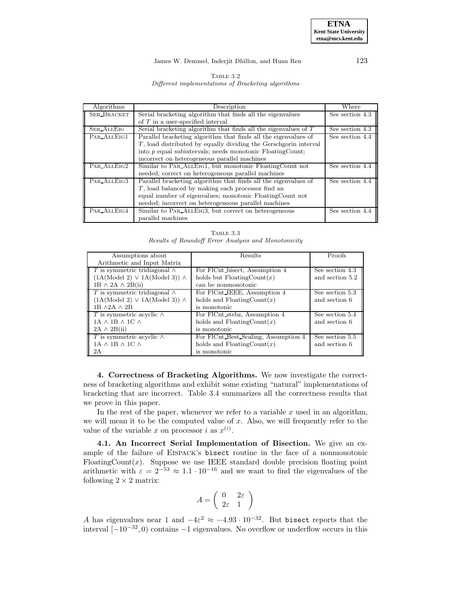### James W. Demmel, Inderjit Dhillon, and Huan Ren 123

| TABLE 3.2                                          |  |
|----------------------------------------------------|--|
| Different implementations of Bracketing algorithms |  |

| Algorithms         | Description                                                         | Where           |  |  |  |  |  |
|--------------------|---------------------------------------------------------------------|-----------------|--|--|--|--|--|
| <b>SER_BRACKET</b> | Serial bracketing algorithm that finds all the eigenvalues          | See section 4.3 |  |  |  |  |  |
|                    | of $T$ in a user-specified interval                                 |                 |  |  |  |  |  |
| <b>SER_ALLEIG</b>  | Serial bracketing algorithm that finds all the eigenvalues of $T$   | See section 4.3 |  |  |  |  |  |
| PAR_ALLEIG1        | Parallel bracketing algorithm that finds all the eigenvalues of     | See section 4.4 |  |  |  |  |  |
|                    | $T$ , load distributed by equally dividing the Gerschgorin interval |                 |  |  |  |  |  |
|                    | into $p$ equal subintervals; needs monotonic FloatingCount;         |                 |  |  |  |  |  |
|                    | incorrect on heterogeneous parallel machines                        |                 |  |  |  |  |  |
| PAR_ALLEIG2        | Similar to PAR_ALLEIG1, but monotonic FloatingCount not             | See section 4.4 |  |  |  |  |  |
|                    | needed; correct on heterogeneous parallel machines                  |                 |  |  |  |  |  |
| PAR_ALLEIG3        | Parallel bracketing algorithm that finds all the eigenvalues of     | See section 4.4 |  |  |  |  |  |
|                    | $T$ , load balanced by making each processor find an                |                 |  |  |  |  |  |
|                    | equal number of eigenvalues; monotonic FloatingCount not            |                 |  |  |  |  |  |
|                    | needed; incorrect on heterogeneous parallel machines                |                 |  |  |  |  |  |
| PAR_ALLEIG4        | Similar to PAR_ALLEIG3, but correct on heterogeneous                | See section 4.4 |  |  |  |  |  |
|                    | parallel machines                                                   |                 |  |  |  |  |  |

Table 3.3 Results of Roundoff Error Analysis and Monotonicity

| Assumptions about<br>Arithmetic and Input Matrix                                                                             | Results                                                                                      | Proofs                             |
|------------------------------------------------------------------------------------------------------------------------------|----------------------------------------------------------------------------------------------|------------------------------------|
| T is symmetric tridiagonal $\wedge$<br>$(1A(\text{Model }2) \vee 1A(\text{Model }3)) \wedge$<br>$1B \wedge 2A \wedge 2B(ii)$ | For FlCnt bisect, Assumption 4<br>holds but $\text{FloatingCount}(x)$<br>can be nonmonotonic | See section 4.3<br>and section 5.2 |
| T is symmetric tridiagonal $\wedge$<br>$(1A \text{(Model 2)} \vee 1A \text{(Model 3)}) \wedge$<br>1B $\wedge$ 2A $\wedge$ 2B | For FICnt IEEE, Assumption 4<br>holds and $\text{FloatingCount}(x)$<br>is monotonic          | See section 5.3<br>and section 6   |
| T is symmetric acyclic $\wedge$<br>$1A \wedge 1B \wedge 1C \wedge$<br>$2A \wedge 2B(ii)$                                     | For FlCnt stebz, Assumption 4<br>holds and $\text{FloatingCount}(x)$<br>is monotonic         | See section 5.4<br>and section 6   |
| T is symmetric acyclic $\wedge$<br>$1A \wedge 1B \wedge 1C \wedge$<br>2A                                                     | For FlCnt Best Scaling, Assumption 4<br>holds and $\text{FloatingCount}(x)$<br>is monotonic  | See section 5.5<br>and section 6   |

**4. Correctness of Bracketing Algorithms.** We now investigate the correctness of bracketing algorithms and exhibit some existing "natural" implementations of bracketing that are incorrect. Table 3.4 summarizes all the correctness results that we prove in this paper.

In the rest of the paper, whenever we refer to a variable  $x$  used in an algorithm, we will mean it to be the computed value of  $x$ . Also, we will frequently refer to the value of the variable x on processor i as  $x^{(i)}$ .

**4.1. An Incorrect Serial Implementation of Bisection.** We give an example of the failure of Eispack's bisect routine in the face of a nonmonotonic FloatingCount $(x)$ . Suppose we use IEEE standard double precision floating point arithmetic with  $\varepsilon = 2^{-53} \approx 1.1 \cdot 10^{-16}$  and we want to find the eigenvalues of the following  $2 \times 2$  matrix:

$$
A = \left(\begin{array}{cc} 0 & 2\varepsilon \\ 2\varepsilon & 1 \end{array}\right)
$$

A has eigenvalues near 1 and  $-4\varepsilon^2 \approx -4.93 \cdot 10^{-32}$ . But bisect reports that the interval [−10−<sup>32</sup>, 0) contains −1 eigenvalues. No overflow or underflow occurs in this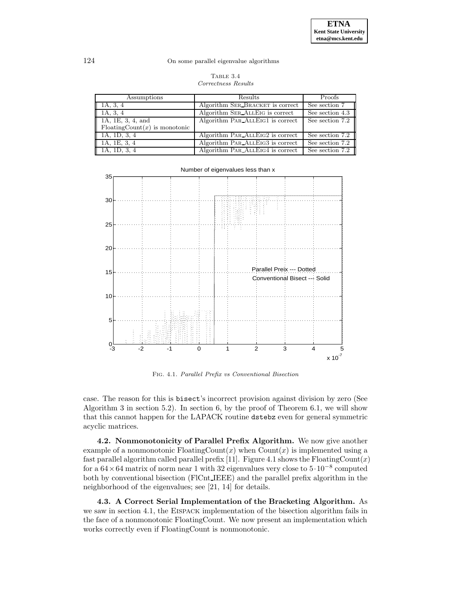| TABLE 3.4           |
|---------------------|
| Correctness Results |

| Assumptions                            | Results                          | Proofs          |
|----------------------------------------|----------------------------------|-----------------|
| 1A, 3, 4                               | Algorithm SER BRACKET is correct | See section 7   |
| 1A, 3, 4                               | Algorithm SER ALLEIG is correct  | See section 4.3 |
| 1A, 1E, 3, 4, and                      | Algorithm PAR_ALLEIG1 is correct | See section 7.2 |
| $F\text{loatingCount}(x)$ is monotonic |                                  |                 |
| 1A, 1D, 3, 4                           | Algorithm PAR_ALLEIG2 is correct | See section 7.2 |
| 1A, 1E, 3, 4                           | Algorithm PAR_ALLEIG3 is correct | See section 7.2 |
| 1A, 1D, 3, 4                           | Algorithm PAR_ALLEIG4 is correct | See section 7.2 |



Fig. 4.1. Parallel Prefix vs Conventional Bisection

case. The reason for this is bisect's incorrect provision against division by zero (See Algorithm 3 in section 5.2). In section 6, by the proof of Theorem 6.1, we will show that this cannot happen for the LAPACK routine dstebz even for general symmetric acyclic matrices.

**4.2. Nonmonotonicity of Parallel Prefix Algorithm.** We now give another example of a nonmonotonic  $\text{FloatingCount}(x)$  when  $\text{Count}(x)$  is implemented using a fast parallel algorithm called parallel prefix [11]. Figure 4.1 shows the FloatingCount(x) for a  $64 \times 64$  matrix of norm near 1 with 32 eigenvalues very close to  $5 \cdot 10^{-8}$  computed both by conventional bisection (FlCnt IEEE) and the parallel prefix algorithm in the neighborhood of the eigenvalues; see [21, 14] for details.

**4.3. A Correct Serial Implementation of the Bracketing Algorithm.** As we saw in section 4.1, the EISPACK implementation of the bisection algorithm fails in the face of a nonmonotonic FloatingCount. We now present an implementation which works correctly even if FloatingCount is nonmonotonic.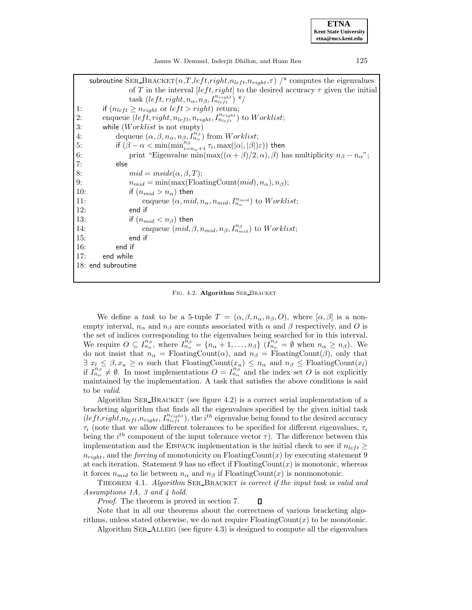James W. Demmel, Inderjit Dhillon, and Huan Ren 125

|     | subroutine SER_BRACKET $(n,T, left, right, n_{left}, \tau)$ /* computes the eigenvalues                           |
|-----|-------------------------------------------------------------------------------------------------------------------|
|     | of T in the interval [left, right] to the desired accuracy $\tau$ given the initial                               |
|     | task (left, right, $n_{\alpha}$ , $n_{\beta}$ , $I_{n_{left}}^{n_{right}}$ ) */                                   |
| 1:  | if $(n_{left} \geq n_{right}$ or $left > right$ right) return;                                                    |
| 2:  | enqueue $(left, right, n_{left}, n_{right}, I^{n_{right}}_{n_{left}})$ to $Worklist;$                             |
| 3:  | while $(Worklist \text{ is not empty})$                                                                           |
| 4:  | dequeue $(\alpha, \beta, n_{\alpha}, n_{\beta}, I_{n_{\alpha}}^{n_{\beta}})$ from <i>Worklist</i> ;               |
| 5:  | if $(\beta - \alpha < \min(\min_{i = n_\alpha+1}^{n_\beta} \tau_i, \max( \alpha , \beta )\varepsilon))$ then      |
| 6:  | print "Eigenvalue min(max( $(\alpha + \beta)/2, \alpha$ ), $\beta$ ) has multiplicity $n_{\beta} - n_{\alpha}$ "; |
| 7:  | else                                                                                                              |
| 8:  | $mid = inside(\alpha, \beta, T);$                                                                                 |
| 9:  | $n_{mid} = min(max(FloatingCount(mid), n_{\alpha}), n_{\beta});$                                                  |
| 10: | if $(n_{mid} > n_{\alpha})$ then                                                                                  |
| 11: | enqueue $(\alpha, mid, n_{\alpha}, n_{mid}, I_{n_{\alpha}}^{n_{mid}})$ to <i>Worklist</i> ;                       |
| 12: | end if                                                                                                            |
| 13: | if $(n_{mid} < n_{\beta})$ then                                                                                   |
| 14: | enqueue $(mid, \beta, n_{mid}, n_{\beta}, I^{n_{\beta}}_{n_{mid}})$ to Worklist;                                  |
| 15: | end if                                                                                                            |
| 16: | end if                                                                                                            |
| 17: | end while                                                                                                         |
|     | 18: end subroutine                                                                                                |
|     |                                                                                                                   |

FIG. 4.2. **Algorithm** SER\_BRACKET

We define a task to be a 5-tuple  $T = (\alpha, \beta, n_\alpha, n_\beta, O)$ , where  $[\alpha, \beta]$  is a nonempty interval,  $n_{\alpha}$  and  $n_{\beta}$  are counts associated with  $\alpha$  and  $\beta$  respectively, and O is the set of indices corresponding to the eigenvalues being searched for in this interval. We require  $O \subseteq I_{n_{\alpha}}^{n_{\beta}}$ , where  $I_{n_{\alpha}}^{\tilde{n}_{\beta}} = \{n_{\alpha} + 1, \ldots, n_{\beta}\}\ (I_{n_{\alpha}}^{n_{\beta}} = \emptyset$  when  $n_{\alpha} \geq n_{\beta}$ ). We do not insist that  $n_{\alpha} = \text{FloatingCount}(\alpha)$ , and  $n_{\beta} = \text{FloatingCount}(\beta)$ , only that  $\exists x_l \leq \beta, x_u \geq \alpha$  such that FloatingCount $(x_u) \leq n_\alpha$  and  $n_\beta \leq$  FloatingCount $(x_l)$ if  $I_{n_{\alpha}}^{n_{\beta}} \neq \emptyset$ . In most implementations  $O = I_{n_{\alpha}}^{n_{\beta}}$  and the index set O is not explicitly maintained by the implementation. A task that satisfies the above conditions is said to be valid.

Algorithm Ser Bracket (see figure 4.2) is a correct serial implementation of a bracketing algorithm that finds all the eigenvalues specified by the given initial task  $(left, right, n_{left}, n_{right}, I^{n_{right}}_{n_{left}})$ , the  $i^{th}$  eigenvalue being found to the desired accuracy  $\tau_i$  (note that we allow different tolerances to be specified for different eigenvalues,  $\tau_i$ being the  $i^{th}$  component of the input tolerance vector  $\tau$ ). The difference between this implementation and the EISPACK implementation is the initial check to see if  $n_{left} \ge$  $n_{right}$ , and the *forcing* of monotonicity on FloatingCount(x) by executing statement 9 at each iteration. Statement 9 has no effect if  $F$ loating $Count(x)$  is monotonic, whereas it forces  $n_{mid}$  to lie between  $n_{\alpha}$  and  $n_{\beta}$  if FloatingCount(x) is nonmonotonic.

THEOREM 4.1. Algorithm SER\_BRACKET is correct if the input task is valid and Assumptions 1A, 3 and 4 hold.

Proof. The theorem is proved in section 7.  $\Box$ 

Note that in all our theorems about the correctness of various bracketing algorithms, unless stated otherwise, we do not require  $F$ loatingCount $(x)$  to be monotonic.

Algorithm SER\_ALLEIG (see figure 4.3) is designed to compute all the eigenvalues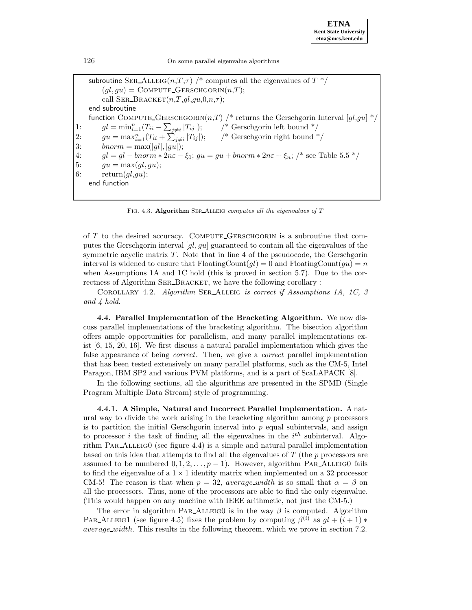subroutine SER\_ALLEIG( $n,T,\tau$ ) /\* computes all the eigenvalues of  $T^*$ /  $(ql,qu) = \text{COMPUTE\_GERSCHGORITHM}(n,T);$ call SER BRACKET $(n,T,ql,qu,0,n,\tau);$ end subroutine function COMPUTE GERSCHGORIN $(n,T)$  /\* returns the Gerschgorin Interval  $(gl,gu]$ \* 1:  $gl = \min_{i=1}^{n} (T_{ii} - \sum_{i=1}^{n} d_i)$  $\frac{1}{3}$  Gerschgorin left bound  $\frac{1}{3}$ 2:  $gu = \max_{i=1}^{n} (T_{ii} + \sum_{i=1}^{n}$ /\* Gerschgorin right bound  $*/$ 3:  $\text{bnorm} = \max(|gl|, |gu|);$ 4:  $gl = gl - bnorm * 2n\varepsilon - \xi_0$ ;  $gu = gu + bnorm * 2n\varepsilon + \xi_n$ ; /\* see Table 5.5 \*/ 5:  $gu = \max(gl, gu);$ 6: return $(gl,gu);$ end function

FIG. 4.3. **Algorithm** SER\_ALLEIG computes all the eigenvalues of T

of T to the desired accuracy. Compute Gerschgorin is a subroutine that computes the Gerschgorin interval  $\left[g_l, gu\right]$  guaranteed to contain all the eigenvalues of the symmetric acyclic matrix  $T$ . Note that in line 4 of the pseudocode, the Gerschgorin interval is widened to ensure that  $\text{FloatingCount}(ql) = 0$  and  $\text{FloatingCount}(qu) = n$ when Assumptions 1A and 1C hold (this is proved in section 5.7). Due to the correctness of Algorithm SER\_BRACKET, we have the following corollary :

COROLLARY 4.2. Algorithm SER\_ALLEIG is correct if Assumptions 1A, 1C, 3 and 4 hold.

**4.4. Parallel Implementation of the Bracketing Algorithm.** We now discuss parallel implementations of the bracketing algorithm. The bisection algorithm offers ample opportunities for parallelism, and many parallel implementations exist [6, 15, 20, 16]. We first discuss a natural parallel implementation which gives the false appearance of being *correct*. Then, we give a *correct* parallel implementation that has been tested extensively on many parallel platforms, such as the CM-5, Intel Paragon, IBM SP2 and various PVM platforms, and is a part of ScaLAPACK [8].

In the following sections, all the algorithms are presented in the SPMD (Single Program Multiple Data Stream) style of programming.

**4.4.1. A Simple, Natural and Incorrect Parallel Implementation.** A natural way to divide the work arising in the bracketing algorithm among  $p$  processors is to partition the initial Gerschgorin interval into  $p$  equal subintervals, and assign to processor *i* the task of finding all the eigenvalues in the  $i^{th}$  subinterval. Algorithm  $PAR\_ALLEIG0$  (see figure 4.4) is a simple and natural parallel implementation based on this idea that attempts to find all the eigenvalues of  $T$  (the  $p$  processors are assumed to be numbered  $0, 1, 2, \ldots, p - 1$ . However, algorithm PAR\_ALLEIG0 fails to find the eigenvalue of a  $1 \times 1$  identity matrix when implemented on a 32 processor CM-5! The reason is that when  $p = 32$ , average width is so small that  $\alpha = \beta$  on all the processors. Thus, none of the processors are able to find the only eigenvalue. (This would happen on any machine with IEEE arithmetic, not just the CM-5.)

The error in algorithm PAR\_ALLEIGO is in the way  $\beta$  is computed. Algorithm PAR\_ALLEIG1 (see figure 4.5) fixes the problem by computing  $\beta^{(i)}$  as  $gl + (i + 1) *$ average width. This results in the following theorem, which we prove in section 7.2.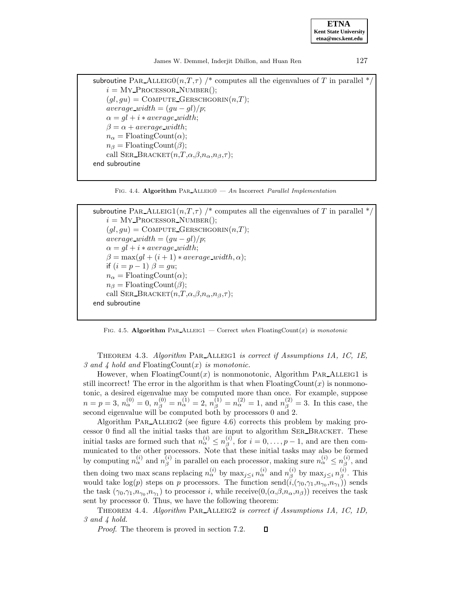**ETNA Kent State University etna@mcs.kent.edu**

James W. Demmel, Inderjit Dhillon, and Huan Ren 127

```
subroutine PAR_ALLEIGO(n,T,\tau) /* computes all the eigenvalues of T in parallel */
i = \text{My\_PROCESSOR\_NUMBER}.
(ql,qu) = \text{COMPUTE\_GERSCHGORITHM}(n,T);average\_width = (gu - gl)/p;\alpha = gl + i * average\_width;\beta = \alpha + average\_width;n_{\alpha} = \text{FloatingCount}(\alpha);n_{\beta} = \text{FloatingCount}(\beta);call SER_BRACKET(n,T,\alpha,\beta,n_{\alpha},n_{\beta},\tau);end subroutine
```
FIG. 4.4. **Algorithm** PAR\_ALLEIGO — An Incorrect Parallel Implementation

```
subroutine PAR_ALLEIG1(n,T, \tau) /* computes all the eigenvalues of T in parallel */
i = \text{My\_PROCESOR\_NUMBER}.
(gl,gu) = \text{COMPUTE\_GERSCHGORITHM}(n,T);average\_width = (gu - gl)/p;\alpha = gl + i * average\_width;\beta = \max(ql + (i + 1) * average\_width, \alpha);if (i = p - 1) \beta = gu;n_{\alpha} = \text{FloatingCount}(\alpha);n_{\beta} = \text{FloatingCount}(\beta);call SER BRACKET(n,T,\alpha,\beta,n_\alpha,n_\beta,\tau);end subroutine
```
FIG. 4.5. **Algorithm** PAR ALLEIG1 — Correct when FloatingCount $(x)$  is monotonic

THEOREM 4.3. Algorithm PAR\_ALLEIG1 is correct if Assumptions 1A, 1C, 1E, 3 and 4 hold and FloatingCount $(x)$  is monotonic.

However, when  $F_{\text{loadingCount}}(x)$  is nonmonotonic, Algorithm PAR\_ALLEIG1 is still incorrect! The error in the algorithm is that when  $F$ loatingCount $(x)$  is nonmonotonic, a desired eigenvalue may be computed more than once. For example, suppose  $n = p = 3, n_{\alpha}^{(0)} = 0, n_{\beta}^{(0)} = n_{\alpha}^{(1)} = 2, n_{\beta}^{(1)} = n_{\alpha}^{(2)} = 1$ , and  $n_{\beta}^{(2)} = 3$ . In this case, the second eigenvalue will be computed both by processors 0 and 2.

Algorithm PAR $\Delta$ LLEIG2 (see figure 4.6) corrects this problem by making processor 0 find all the initial tasks that are input to algorithm Ser Bracket. These initial tasks are formed such that  $n_{\alpha}^{(i)} \leq n_{\beta}^{(i)}$ , for  $i = 0, \ldots, p - 1$ , and are then communicated to the other processors. Note that these initial tasks may also be formed by computing  $n_{\alpha}^{(i)}$  and  $n_{\beta}^{(i)}$  in parallel on each processor, making sure  $n_{\alpha}^{(i)} \leq n_{\beta}^{(i)}$ , and then doing two max scans replacing  $n_{\alpha}^{(i)}$  by  $\max_{j\leq i} n_{\alpha}^{(i)}$  and  $n_{\beta}^{(i)}$  by  $\max_{j\leq i} n_{\beta}^{(i)}$ . This would take  $\log(p)$  steps on p processors. The function send $(\tilde{i},(\gamma_0,\gamma_1,n_{\gamma_0},n_{\gamma_1}))$  sends the task  $(\gamma_0, \gamma_1, n_{\gamma_0}, n_{\gamma_1})$  to processor i, while receive $(0, (\alpha, \beta, n_\alpha, n_\beta))$  receives the task sent by processor 0. Thus, we have the following theorem:

THEOREM 4.4. Algorithm PAR\_ALLEIG2 is correct if Assumptions 1A, 1C, 1D, 3 and 4 hold.

Proof. The theorem is proved in section 7.2. $\Box$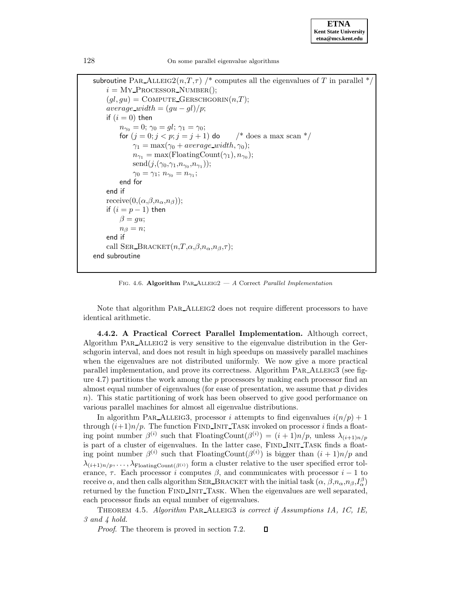subroutine PAR\_ALLEIG2( $n,T,\tau$ ) /\* computes all the eigenvalues of T in parallel \*  $i = \text{My\_PROCESSOR\_NUMBER}$ .  $(ql,qu) = \text{COMPUTE\_GERSCHGORITHM}(n,T);$  $average\_width = (gu - gl)/p;$ if  $(i = 0)$  then  $n_{\gamma_0} = 0; \, \gamma_0 = gl; \, \gamma_1 = \gamma_0;$ for  $(j = 0; j < p; j = j + 1)$  do  $\frac{\pi}{6}$  does a max scan  $\frac{k}{\pi}$  $\gamma_1 = \max(\gamma_0 + average\_width, \gamma_0);$  $n_{\gamma_1} = \max(\text{FloatingCount}(\gamma_1), n_{\gamma_0});$  $send(j,(\gamma_0,\gamma_1,n_{\gamma_0},n_{\gamma_1}));$  $\gamma_0 = \gamma_1; n_{\gamma_0} = n_{\gamma_1};$ end for end if receive $(0, (\alpha, \beta, n_\alpha, n_\beta));$ if  $(i = p - 1)$  then  $\beta = qu$ ;  $n_{\beta} = n$ : end if call SER BRACKET $(n,T,\alpha,\beta,n_\alpha,n_\beta,\tau);$ end subroutine

FIG. 4.6. **Algorithm** PAR\_ALLEIG2 — A Correct Parallel Implementation

Note that algorithm PAR\_ALLEIG2 does not require different processors to have identical arithmetic.

**4.4.2. A Practical Correct Parallel Implementation.** Although correct, Algorithm PAR\_ALLEIG2 is very sensitive to the eigenvalue distribution in the Gerschgorin interval, and does not result in high speedups on massively parallel machines when the eigenvalues are not distributed uniformly. We now give a more practical parallel implementation, and prove its correctness. Algorithm PAR\_ALLEIG3 (see figure 4.7) partitions the work among the  $p$  processors by making each processor find an almost equal number of eigenvalues (for ease of presentation, we assume that  $p$  divides n). This static partitioning of work has been observed to give good performance on various parallel machines for almost all eigenvalue distributions.

In algorithm PAR ALLEIG3, processor i attempts to find eigenvalues  $i(n/p)+1$ through  $(i+1)n/p$ . The function FIND INIT TASK invoked on processor i finds a floating point number  $\beta^{(i)}$  such that FloatingCount $(\beta^{(i)})=(i + 1)n/p$ , unless  $\lambda_{(i+1)n/p}$ is part of a cluster of eigenvalues. In the latter case, FIND INIT TASK finds a floating point number  $\beta^{(i)}$  such that FloatingCount $(\beta^{(i)})$  is bigger than  $(i+1)n/p$  and  $\lambda_{(i+1)n/p}, \ldots, \lambda_{\text{FloatingCount}(\beta^{(i)})}$  form a cluster relative to the user specified error tolerance,  $\tau$ . Each processor i computes  $\beta$ , and communicates with processor i – 1 to receive  $\alpha$ , and then calls algorithm SER\_BRACKET with the initial task  $(\alpha, \beta, n_\alpha, n_\beta, I_\alpha^\beta)$ returned by the function FIND INIT TASK. When the eigenvalues are well separated, each processor finds an equal number of eigenvalues.

THEOREM 4.5. Algorithm PAR\_ALLEIG3 is correct if Assumptions 1A, 1C, 1E, 3 and 4 hold.

 $\Box$ Proof. The theorem is proved in section 7.2.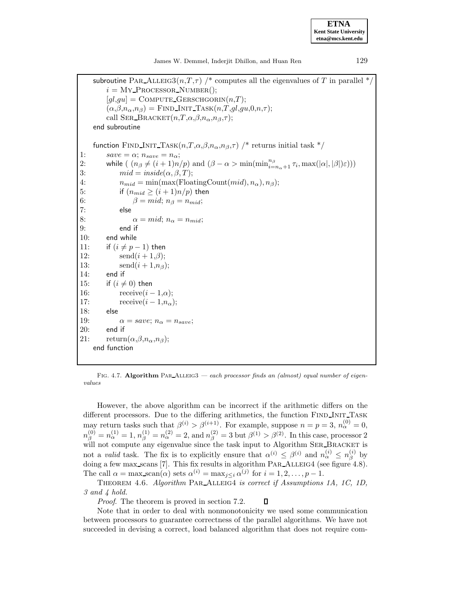**ETNA Kent State University etna@mcs.kent.edu**

James W. Demmel, Inderjit Dhillon, and Huan Ren 129

subroutine PAR\_ALLEIG3( $n,T,\tau$ ) /\* computes all the eigenvalues of T in parallel \*/  $i = \text{My\_PROCESSOR\_NUMBER}$ .  $[gl,gu] = \text{COMPUTE\_GERSCHGORITHM}(n,T);$  $(\alpha,\beta,n_{\alpha},n_{\beta}) =$  FIND INIT TASK $(n,T,gl,gu,0,n,\tau);$ call SER\_BRACKET $(n,T,\alpha,\beta,n_\alpha,n_\beta,\tau);$ end subroutine function FIND INIT TASK $(n, T, \alpha, \beta, n_{\alpha}, n_{\beta}, \tau)$  /\* returns initial task \*/ 1:  $\qquad \qquad save = \alpha; \ n_{save} = n_{\alpha};$ 2: while  $((n_\beta \neq (i+1)n/p)$  and  $(\beta - \alpha > \min(\min_{i=n_\alpha+1}^{n_\beta} \tau_i, \max(|\alpha|, |\beta|)\varepsilon)))$ 3:  $mid = inside(\alpha, \beta, T);$ 4:  $n_{mid} = \min(\max(\text{FloatingCount}(mid), n_{\alpha}), n_{\beta});$ 5: if  $(n_{mid} \geq (i+1)n/p)$  then 6:  $\beta = mid; n_{\beta} = n_{mid};$ 7: else 8:  $\alpha = mid; n_{\alpha} = n_{mid};$ 9: end if 10: end while 11: if  $(i \neq p-1)$  then 12:  $\text{send}(i + 1, \beta)$ ; 13:  $\text{send}(i + 1, n_\beta);$ 14: end if 15: if  $(i \neq 0)$  then 16: receive $(i-1,\alpha);$ 17:  $\text{receive}(i - 1, n_{\alpha});$ 18: else 19:  $\alpha = save; n_{\alpha} = n_{save};$ 20: end if 21:  $return(\alpha, \beta, n_{\alpha}, n_{\beta});$ end function

FIG. 4.7. **Algorithm** PAR\_ALLEIG3 — each processor finds an (almost) equal number of eigenvalues

However, the above algorithm can be incorrect if the arithmetic differs on the different processors. Due to the differing arithmetics, the function FIND INIT TASK may return tasks such that  $\beta^{(i)} > \beta^{(i+1)}$ . For example, suppose  $n = p = 3$ ,  $n_{\alpha}^{(0)} = 0$ ,  $n_{\beta}^{(0)} = n_{\alpha}^{(1)} = 1, n_{\beta}^{(1)} = n_{\alpha}^{(2)} = 2$ , and  $n_{\beta}^{(2)} = 3$  but  $\beta^{(1)} > \beta^{(2)}$ . In this case, processor 2 will not compute any eigenvalue since the task input to Algorithm SER\_BRACKET is not a valid task. The fix is to explicitly ensure that  $\alpha^{(i)} \leq \beta^{(i)}$  and  $n_{\alpha}^{(i)} \leq n_{\beta}^{(i)}$  by doing a few max scans [7]. This fix results in algorithm PAR\_ALLEIG4 (see figure 4.8). The call  $\alpha = \max\limits_{s \in \alpha} (a)$  sets  $\alpha^{(i)} = \max_{j \leq i} \alpha^{(j)}$  for  $i = 1, 2, ..., p - 1$ .

THEOREM 4.6. Algorithm PAR\_ALLEIG4 is correct if Assumptions 1A, 1C, 1D, 3 and 4 hold.

Proof. The theorem is proved in section 7.2.  $\Box$ 

Note that in order to deal with nonmonotonicity we used some communication between processors to guarantee correctness of the parallel algorithms. We have not succeeded in devising a correct, load balanced algorithm that does not require com-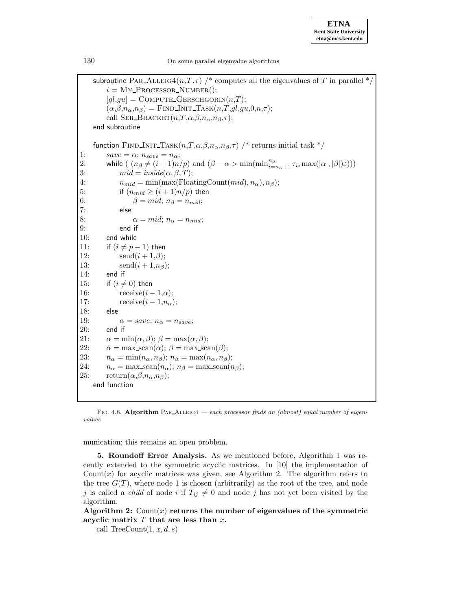subroutine PAR\_ALLEIG4(n,T, $\tau$ ) /\* computes all the eigenvalues of T in parallel \*/  $i = \text{My\_PROCESSOR\_NUMBER}$ );  $[gl,gu] = \text{COMPUTE\_GERSCHGORITHM}(n,T);$  $(\alpha,\beta,n_{\alpha},n_{\beta}) =$  FIND INIT TASK $(n,T,gl,gu,0,n,\tau);$ call SER\_BRACKET $(n,T,\alpha,\beta,n_\alpha,n_\beta,\tau);$ end subroutine function FIND INIT TASK $(n, T, \alpha, \beta, n_{\alpha}, n_{\beta}, \tau)$  /\* returns initial task \*/ 1:  $save = \alpha; n_{save} = n_{\alpha};$ 2: while  $((n_\beta \neq (i+1)n/p)$  and  $(\beta - \alpha > \min(\min_{i=n_\alpha+1}^{n_\beta} \tau_i, \max(|\alpha|, |\beta|)\varepsilon)))$ 3:  $mid = inside(\alpha, \beta, T);$ 4:  $n_{mid} = \min(\max(\text{FloatingCount}(mid), n_{\alpha}), n_{\beta});$ 5: if  $(n_{mid} \geq (i+1)n/p)$  then 6:  $\beta = mid; n_{\beta} = n_{mid};$ 7: else 8:  $\alpha = mid; n_{\alpha} = n_{mid};$ 9: end if 10: end while 11: if  $(i \neq p-1)$  then 12:  $\text{send}(i + 1, \beta)$ ; 13:  $\text{send}(i + 1, n_\beta);$ 14: end if 15: if  $(i \neq 0)$  then 16: receive $(i-1,\alpha);$ 17:  $\text{receive}(i - 1, n_{\alpha});$ 18: else 19:  $\alpha = save; n_{\alpha} = n_{save};$ <br>20: end if end if 21:  $\alpha = \min(\alpha, \beta); \ \beta = \max(\alpha, \beta);$ 22:  $\alpha = \max\text{scan}(\alpha); \ \beta = \max\text{scan}(\beta);$ 23:  $n_{\alpha} = \min(n_{\alpha}, n_{\beta}); n_{\beta} = \max(n_{\alpha}, n_{\beta});$ 24:  $n_{\alpha} = \max\text{scan}(n_{\alpha}); n_{\beta} = \max\text{scan}(n_{\beta});$ 25:  $return(\alpha, \beta, n_\alpha, n_\beta);$ end function

FIG. 4.8. **Algorithm** PAR\_ALLEIG4 — each processor finds an (almost) equal number of eigenvalues

munication; this remains an open problem.

**5. Roundoff Error Analysis.** As we mentioned before, Algorithm 1 was recently extended to the symmetric acyclic matrices. In [10] the implementation of Count $(x)$  for acyclic matrices was given, see Algorithm 2. The algorithm refers to the tree  $G(T)$ , where node 1 is chosen (arbitrarily) as the root of the tree, and node j is called a *child* of node i if  $T_{ij} \neq 0$  and node j has not yet been visited by the algorithm.

Algorithm 2:  $Count(x)$  returns the number of eigenvalues of the symmetric **acyclic matrix** T **that are less than** x**.**

call TreeCount $(1, x, d, s)$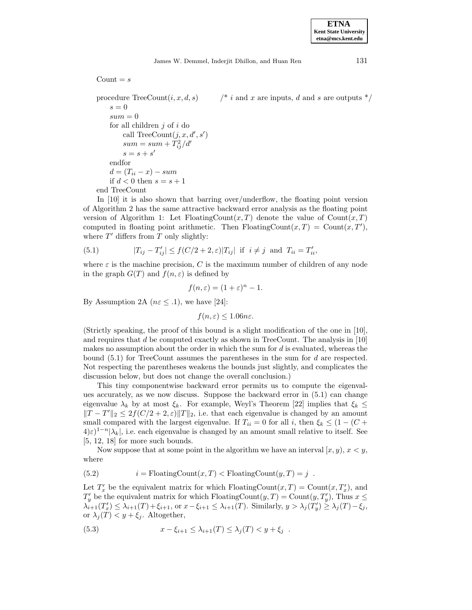James W. Demmel, Inderjit Dhillon, and Huan Ren 131

Count  $= s$ 

procedure TreeCount $(i, x, d, s)$  /\* i and x are inputs, d and s are outputs \*/  $s = 0$  $sum = 0$ for all children  $j$  of  $i$  do call TreeCount $(j, x, d', s')$  $sum = sum + T_{ij}^2/d'$  $s = s + s'$ endfor  $d = (T_{ii} - x) - sum$ if  $d < 0$  then  $s = s + 1$ end TreeCount

In [10] it is also shown that barring over/underflow, the floating point version of Algorithm 2 has the same attractive backward error analysis as the floating point version of Algorithm 1: Let FloatingCount $(x, T)$  denote the value of Count $(x, T)$ computed in floating point arithmetic. Then FloatingCount $(x, T) = \text{Count}(x, T')$ , where  $T'$  differs from T only slightly:

(5.1) 
$$
|T_{ij} - T'_{ij}| \le f(C/2 + 2, \varepsilon)|T_{ij}| \text{ if } i \ne j \text{ and } T_{ii} = T'_{ii},
$$

where  $\varepsilon$  is the machine precision, C is the maximum number of children of any node in the graph  $G(T)$  and  $f(n, \varepsilon)$  is defined by

$$
f(n,\varepsilon) = (1+\varepsilon)^n - 1.
$$

By Assumption 2A ( $n \in \leq$  .1), we have [24]:

$$
f(n,\varepsilon) \le 1.06n\varepsilon.
$$

(Strictly speaking, the proof of this bound is a slight modification of the one in [10], and requires that  $d$  be computed exactly as shown in TreeCount. The analysis in [10] makes no assumption about the order in which the sum for  $d$  is evaluated, whereas the bound  $(5.1)$  for TreeCount assumes the parentheses in the sum for d are respected. Not respecting the parentheses weakens the bounds just slightly, and complicates the discussion below, but does not change the overall conclusion.)

This tiny componentwise backward error permits us to compute the eigenvalues accurately, as we now discuss. Suppose the backward error in (5.1) can change eigenvalue  $\lambda_k$  by at most  $\xi_k$ . For example, Weyl's Theorem [22] implies that  $\xi_k \leq$  $||T - T'||_2 \leq 2f(C/2 + 2, \varepsilon) ||T||_2$ , i.e. that each eigenvalue is changed by an amount small compared with the largest eigenvalue. If  $T_{ii} = 0$  for all i, then  $\xi_k \leq (1 - (C +$  $(4)\varepsilon^{1-n}|\lambda_k|$ , i.e. each eigenvalue is changed by an amount small relative to itself. See [5, 12, 18] for more such bounds.

Now suppose that at some point in the algorithm we have an interval  $[x, y), x < y$ , where

(5.2) 
$$
i = \text{FloatingCount}(x, T) < \text{FloatingCount}(y, T) = j
$$
.

Let  $T'_x$  be the equivalent matrix for which FloatingCount $(x,T) = \text{Count}(x,T'_x)$ , and  $T'_y$  be the equivalent matrix for which FloatingCount $(y,T) = \text{Count}(y,T'_y)$ , Thus  $x \leq$  $\lambda_{i+1}(T'_x) \leq \lambda_{i+1}(T) + \xi_{i+1}$ , or  $x - \xi_{i+1} \leq \lambda_{i+1}(T)$ . Similarly,  $y > \lambda_j(T'_y) \geq \lambda_j(T) - \xi_j$ , or  $\lambda_j(T) < y + \xi_j$ . Altogether,

(5.3) 
$$
x - \xi_{i+1} \leq \lambda_{i+1}(T) \leq \lambda_j(T) < y + \xi_j.
$$

**ETNA Kent State University etna@mcs.kent.edu**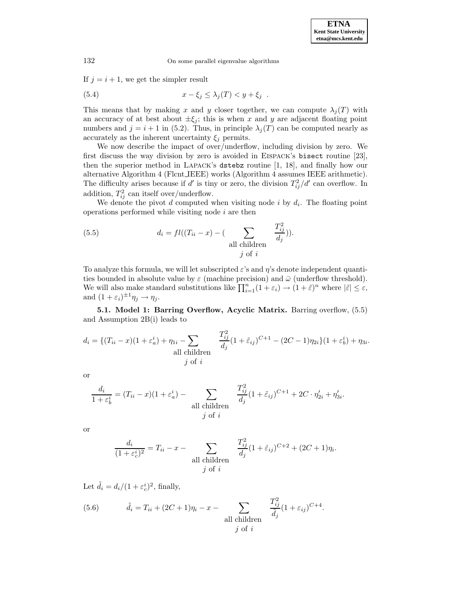If  $j = i + 1$ , we get the simpler result

$$
(5.4) \t\t x - \xi_j \leq \lambda_j(T) < y + \xi_j \enspace .
$$

This means that by making x and y closer together, we can compute  $\lambda_i(T)$  with an accuracy of at best about  $\pm \xi_i$ ; this is when x and y are adjacent floating point numbers and  $j = i + 1$  in (5.2). Thus, in principle  $\lambda_i(T)$  can be computed nearly as accurately as the inherent uncertainty  $\xi_i$  permits.

We now describe the impact of over/underflow, including division by zero. We first discuss the way division by zero is avoided in Eispack's bisect routine [23], then the superior method in Lapack's dstebz routine [1, 18], and finally how our alternative Algorithm 4 (Flcnt IEEE) works (Algorithm 4 assumes IEEE arithmetic). The difficulty arises because if d' is tiny or zero, the division  $T_{ij}^2/d'$  can overflow. In addition,  $T_{ij}^2$  can itself over/underflow.

We denote the pivot  $d$  computed when visiting node  $i$  by  $d_i$ . The floating point operations performed while visiting node  $i$  are then

(5.5) 
$$
d_i = fl((T_{ii} - x) - (\sum_{\text{all children}} \frac{T_{ij}^2}{d_j})).
$$

To analyze this formula, we will let subscripted  $\varepsilon$ 's and  $\eta$ 's denote independent quantities bounded in absolute value by  $\varepsilon$  (machine precision) and  $\bar{\omega}$  (underflow threshold). We will also make standard substitutions like  $\prod_{i=1}^{n} (1 + \varepsilon_i) \to (1 + \tilde{\varepsilon})^n$  where  $|\tilde{\varepsilon}| \leq \varepsilon$ , and  $(1 + \varepsilon_i)^{\pm 1} \eta_j \to \eta_j$ .

**5.1. Model 1: Barring Overflow, Acyclic Matrix.** Barring overflow, (5.5) and Assumption 2B(i) leads to

$$
d_i = \{ (T_{ii} - x)(1 + \varepsilon_a^i) + \eta_{1i} - \sum_{\substack{d \text{all children} \\ \text{all children}}} \frac{T_{ij}^2}{d_j} (1 + \tilde{\varepsilon}_{ij})^{C+1} - (2C - 1)\eta_{2i} \} (1 + \varepsilon_b^i) + \eta_{3i}.
$$

or

$$
\frac{d_i}{1+\varepsilon_b^i} = (T_{ii} - x)(1+\varepsilon_a^i) - \sum_{\substack{\text{all children} \\ j \text{ of } i}} \frac{T_{ij}^2}{d_j} (1+\tilde{\varepsilon}_{ij})^{C+1} + 2C \cdot \eta_{2i}' + \eta_{3i}'.
$$

or

$$
\frac{d_i}{(1+\varepsilon_c^i)^2} = T_{ii} - x - \sum_{\text{all children}} \frac{T_{ij}^2}{d_j} (1+\hat{\varepsilon}_{ij})^{C+2} + (2C+1)\eta_i.
$$

Let  $\tilde{d}_i = d_i/(1 + \varepsilon_c^i)^2$ , finally,

(5.6) 
$$
\tilde{d}_i = T_{ii} + (2C+1)\eta_i - x - \sum_{\text{all children}} \frac{T_{ij}^2}{\tilde{d}_j} (1 + \varepsilon_{ij})^{C+4}.
$$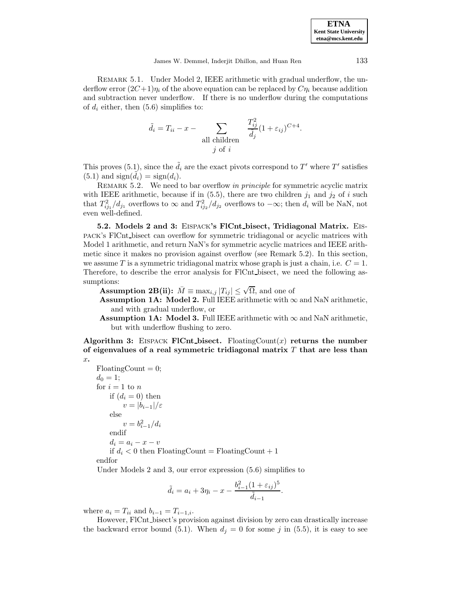REMARK 5.1. Under Model 2, IEEE arithmetic with gradual underflow, the underflow error  $(2C+1)\eta_i$  of the above equation can be replaced by  $C\eta_i$  because addition and subtraction never underflow. If there is no underflow during the computations of  $d_i$  either, then (5.6) simplifies to:

$$
\tilde{d}_i = T_{ii} - x - \sum_{\text{all children}} \frac{T_{ij}^2}{\tilde{d}_j} (1 + \varepsilon_{ij})^{C+4}.
$$

This proves (5.1), since the  $\tilde{d}_i$  are the exact pivots correspond to T' where T' satisfies  $(5.1)$  and  $sign(\tilde{d}_i) = sign(d_i)$ .

REMARK 5.2. We need to bar overflow in principle for symmetric acyclic matrix with IEEE arithmetic, because if in  $(5.5)$ , there are two children  $j_1$  and  $j_2$  of i such that  $T_{ij_1}^2/d_{j_1}$  overflows to  $\infty$  and  $T_{ij_2}^2/d_{j_2}$  overflows to  $-\infty$ ; then  $d_i$  will be NaN, not even well-defined.

**5.2. Models 2 and 3:** Eispack**'s FlCnt bisect, Tridiagonal Matrix.** Eispack's FlCnt bisect can overflow for symmetric tridiagonal or acyclic matrices with Model 1 arithmetic, and return NaN's for symmetric acyclic matrices and IEEE arithmetic since it makes no provision against overflow (see Remark 5.2). In this section, we assume T is a symmetric tridiagonal matrix whose graph is just a chain, i.e.  $C = 1$ . Therefore, to describe the error analysis for FlCnt bisect, we need the following assumptions:

**Assumption 2B(ii):**  $\overline{M} \equiv \max_{i,j} |T_{ij}| \leq \sqrt{\Omega}$ , and one of

**Assumption 1A: Model 2.** Full IEEE arithmetic with  $\infty$  and NaN arithmetic, and with gradual underflow, or

**Assumption 1A: Model 3.** Full IEEE arithmetic with  $\infty$  and NaN arithmetic, but with underflow flushing to zero.

**Algorithm 3:** EISPACK **FlCnt** bisect. FloatingCount $(x)$  returns the number **of eigenvalues of a real symmetric tridiagonal matrix** T **that are less than** x**.**

 $F\text{loadingCount} = 0;$  $d_0 = 1;$ for  $i = 1$  to n if  $(d_i = 0)$  then  $v = |b_{i-1}|/\varepsilon$ else  $v = b_{i-1}^2/d_i$ endif  $d_i = a_i - x - v$ if  $d_i < 0$  then FloatingCount = FloatingCount + 1 endfor

Under Models 2 and 3, our error expression (5.6) simplifies to

$$
\tilde{d}_i = a_i + 3\eta_i - x - \frac{b_{i-1}^2 (1 + \varepsilon_{ij})^5}{\tilde{d}_{i-1}}.
$$

where  $a_i = T_{ii}$  and  $b_{i-1} = T_{i-1,i}$ .

However, FlCnt bisect's provision against division by zero can drastically increase the backward error bound (5.1). When  $d_i = 0$  for some j in (5.5), it is easy to see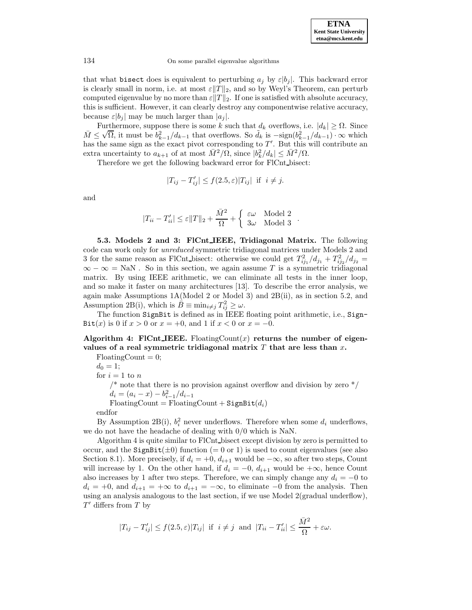that what bisect does is equivalent to perturbing  $a_j$  by  $\varepsilon |b_j|$ . This backward error is clearly small in norm, i.e. at most  $\varepsilon ||T||_2$ , and so by Weyl's Theorem, can perturb computed eigenvalue by no more than  $\varepsilon||T||_2$ . If one is satisfied with absolute accuracy, this is sufficient. However, it can clearly destroy any componentwise relative accuracy, because  $\varepsilon |b_i|$  may be much larger than  $|a_i|$ .

Furthermore, suppose there is some k such that  $d_k$  overflows, i.e.  $|d_k| \geq \Omega$ . Since Furthermore, suppose there is some  $\kappa$  such that  $a_k$  overhows, i.e.  $|a_k| \ge \Omega$ . Since  $\overline{M} \le \sqrt{\Omega}$ , it must be  $b_{k-1}^2/d_{k-1}$  that overflows. So  $\tilde{d}_k$  is  $-\text{sign}(b_{k-1}^2/d_{k-1}) \cdot \infty$  which has the same sign as the exact pivot corresponding to  $T'$ . But this will contribute an extra uncertainty to  $a_{k+1}$  of at most  $\bar{M}^2/\Omega$ , since  $|b_k^2/d_k| \leq \bar{M}^2/\Omega$ .

Therefore we get the following backward error for FlCnt bisect:

$$
|T_{ij} - T'_{ij}| \le f(2.5, \varepsilon) |T_{ij}| \text{ if } i \ne j.
$$

and

$$
|T_{ii} - T'_{ii}| \le \varepsilon ||T||_2 + \frac{\bar{M}^2}{\Omega} + \begin{cases} \varepsilon \omega \quad \text{Model 2} \\ 3\omega \quad \text{Model 3} \end{cases}.
$$

**5.3. Models 2 and 3: FlCnt IEEE, Tridiagonal Matrix.** The following code can work only for unreduced symmetric tridiagonal matrices under Models 2 and 3 for the same reason as FlCnt bisect: otherwise we could get  $T_{ij_1}^2/d_{j_1} + T_{ij_2}^2/d_{j_2} =$  $\infty - \infty = \text{NaN}$ . So in this section, we again assume T is a symmetric tridiagonal matrix. By using IEEE arithmetic, we can eliminate all tests in the inner loop, and so make it faster on many architectures [13]. To describe the error analysis, we again make Assumptions 1A(Model 2 or Model 3) and 2B(ii), as in section 5.2, and Assumption 2B(i), which is  $\hat{B} \equiv \min_{i \neq j} T_{ij}^2 \geq \omega$ .

The function SignBit is defined as in IEEE floating point arithmetic, i.e., Sign-Bit(x) is 0 if  $x > 0$  or  $x = +0$ , and 1 if  $x < 0$  or  $x = -0$ .

# Algorithm 4: FICnt IEEE. Floating Count  $(x)$  returns the number of eigen**values of a real symmetric tridiagonal matrix** T **that are less than** x**.**

 $F$ loatingCount = 0;  $d_0 = 1;$ for  $i = 1$  to n <sup>\*</sup> note that there is no provision against overflow and division by zero  $*/$  $d_i = (a_i - x) - b_{i-1}^2 / d_{i-1}$  $F\text{loadingCount} = \text{FloatingCount} + \text{SignBit}(d_i)$ endfor

By Assumption 2B(i),  $b_i^2$  never underflows. Therefore when some  $d_i$  underflows, we do not have the headache of dealing with 0/0 which is NaN.

Algorithm 4 is quite similar to FlCnt bisect except division by zero is permitted to occur, and the  $SignBit(\pm 0)$  function (= 0 or 1) is used to count eigenvalues (see also Section 8.1). More precisely, if  $d_i = +0$ ,  $d_{i+1}$  would be  $-\infty$ , so after two steps, Count will increase by 1. On the other hand, if  $d_i = -0$ ,  $d_{i+1}$  would be  $+\infty$ , hence Count also increases by 1 after two steps. Therefore, we can simply change any  $d_i = -0$  to  $d_i = +0$ , and  $d_{i+1} = +\infty$  to  $d_{i+1} = -\infty$ , to eliminate  $-0$  from the analysis. Then using an analysis analogous to the last section, if we use Model 2(gradual underflow),  $T'$  differs from T by

$$
|T_{ij} - T'_{ij}| \le f(2.5, \varepsilon)|T_{ij}| \text{ if } i \ne j \text{ and } |T_{ii} - T'_{ii}| \le \frac{\bar{M}^2}{\Omega} + \varepsilon \omega.
$$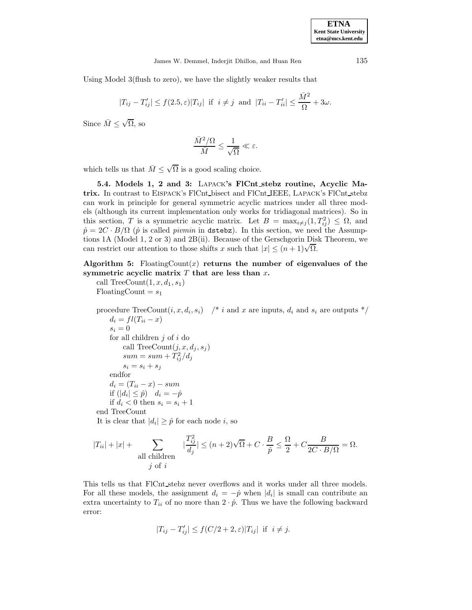Using Model 3(flush to zero), we have the slightly weaker results that

$$
|T_{ij}-T'_{ij}|\leq f(2.5,\varepsilon)|T_{ij}| \ \ \text{if} \ \ i\neq j \ \ \text{and} \ \ |T_{ii}-T'_{ii}|\leq \frac{\bar{M}^2}{\Omega}+3\omega.
$$

Since  $\overline{M} \leq \sqrt{\Omega}$ , so

$$
\frac{\bar{M}^2/\Omega}{\bar{M}} \leq \frac{1}{\sqrt{\Omega}} \ll \varepsilon.
$$

which tells us that  $\overline{M} \leq \sqrt{\Omega}$  is a good scaling choice.

**5.4. Models 1, 2 and 3:** Lapack**'s FlCnt stebz routine, Acyclic Matrix.** In contrast to Eispack's FlCnt bisect and FlCnt IEEE, Lapack's FlCnt stebz can work in principle for general symmetric acyclic matrices under all three models (although its current implementation only works for tridiagonal matrices). So in this section, T is a symmetric acyclic matrix. Let  $B = \max_{i \neq j} (1, T_{ij}^2) \leq \Omega$ , and  $\hat{p} = 2C \cdot B/\Omega$  ( $\hat{p}$  is called *pivmin* in dstebz). In this section, we need the Assumptions 1A (Model 1, 2 or 3) and 2B(ii). Because of the Gerschgorin Disk Theorem, we tions TA (Model 1, 2 or 3) and 2B(ii). Because of the Gerschgorin Dis<br>can restrict our attention to those shifts x such that  $|x| \leq (n+1)\sqrt{\Omega}$ .

Algorithm 5: FloatingCount $(x)$  returns the number of eigenvalues of the **symmetric acyclic matrix** T **that are less than** x**.**

call TreeCount $(1, x, d_1, s_1)$  $F\text{loatingCount} = s_1$ 

procedure TreeCount $(i, x, d_i, s_i)$  /\* i and x are inputs,  $d_i$  and  $s_i$  are outputs \*/  $d_i = fl(T_{ii} - x)$  $s_i = 0$ for all children  $j$  of  $i$  do call TreeCount $(j, x, d_j, s_j)$  $sum = sum + T_{ij}^2/d_j$  $s_i = s_i + s_j$ endfor  $d_i = (T_{ii} - x) - sum$ if  $(|d_i| \leq \hat{p})$   $d_i = -\hat{p}$ if  $d_i < 0$  then  $s_i = s_i + 1$ end TreeCount It is clear that  $|d_i| \geq \hat{p}$  for each node *i*, so

$$
|T_{ii}| + |x| + \sum_{\text{all children}} |\frac{T_{ij}^2}{d_j}| \le (n+2)\sqrt{\Omega} + C \cdot \frac{B}{\hat{p}} \le \frac{\Omega}{2} + C \frac{B}{2C \cdot B/\Omega} = \Omega.
$$

This tells us that FlCnt stebz never overflows and it works under all three models. For all these models, the assignment  $d_i = -\hat{p}$  when  $|d_i|$  is small can contribute an extra uncertainty to  $T_{ii}$  of no more than  $2 \cdot \hat{p}$ . Thus we have the following backward error:

$$
|T_{ij} - T'_{ij}| \le f(C/2 + 2, \varepsilon)|T_{ij}| \text{ if } i \ne j.
$$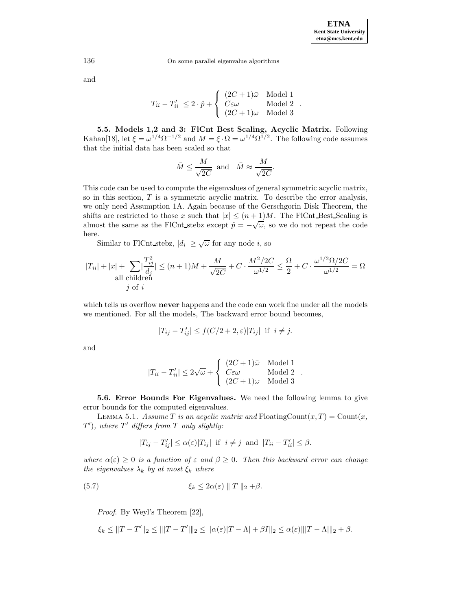and

$$
|T_{ii} - T'_{ii}| \le 2 \cdot \hat{p} + \begin{cases} (2C + 1)\bar{\omega} & \text{Model 1} \\ C\varepsilon\omega & \text{Model 2} \\ (2C + 1)\omega & \text{Model 3} \end{cases}.
$$

**5.5. Models 1,2 and 3: FlCnt Best Scaling, Acyclic Matrix.** Following Kahan[18], let  $\xi = \omega^{1/4} \Omega^{-1/2}$  and  $M = \xi \cdot \Omega = \omega^{1/4} \Omega^{1/2}$ . The following code assumes that the initial data has been scaled so that

$$
\bar{M} \le \frac{M}{\sqrt{2C}} \text{ and } \bar{M} \approx \frac{M}{\sqrt{2C}}.
$$

This code can be used to compute the eigenvalues of general symmetric acyclic matrix, so in this section,  $T$  is a symmetric acyclic matrix. To describe the error analysis, we only need Assumption 1A. Again because of the Gerschgorin Disk Theorem, the shifts are restricted to those x such that  $|x| \leq (n+1)M$ . The FlCnt Best Scaling is almost the same as the FlCnt stebz except  $\hat{p} = -\sqrt{\omega}$ , so we do not repeat the code here.

Similar to FlCnt\_stebz,  $|d_i| \geq \sqrt{\omega}$  for any node *i*, so

$$
|T_{ii}| + |x| + \sum_{\text{all children}} |\frac{T_{ij}^2}{d_j}| \le (n+1)M + \frac{M}{\sqrt{2C}} + C \cdot \frac{M^2/2C}{\omega^{1/2}} \le \frac{\Omega}{2} + C \cdot \frac{\omega^{1/2} \Omega/2C}{\omega^{1/2}} = \Omega
$$

which tells us overflow **never** happens and the code can work fine under all the models we mentioned. For all the models, The backward error bound becomes,

$$
|T_{ij} - T'_{ij}| \le f(C/2 + 2, \varepsilon)|T_{ij}| \text{ if } i \ne j.
$$

and

$$
|T_{ii} - T'_{ii}| \leq 2\sqrt{\omega} + \begin{cases} (2C + 1)\bar{\omega} & \text{Model 1} \\ C\epsilon\omega & \text{Model 2} \\ (2C + 1)\omega & \text{Model 3} \end{cases}.
$$

**5.6. Error Bounds For Eigenvalues.** We need the following lemma to give error bounds for the computed eigenvalues.

LEMMA 5.1. Assume T is an acyclic matrix and FloatingCount $(x, T) = \text{Count}(x, T)$  $T^{\prime}),$  where  $T^{\prime}$  differs from T only slightly:

$$
|T_{ij} - T'_{ij}| \le \alpha(\varepsilon)|T_{ij}| \text{ if } i \ne j \text{ and } |T_{ii} - T'_{ii}| \le \beta.
$$

where  $\alpha(\varepsilon) \geq 0$  is a function of  $\varepsilon$  and  $\beta \geq 0$ . Then this backward error can change the eigenvalues  $\lambda_k$  by at most  $\xi_k$  where

(5.7) 
$$
\xi_k \leq 2\alpha(\varepsilon) \|T\|_2 + \beta.
$$

Proof. By Weyl's Theorem [22],

$$
\xi_k \le ||T - T'||_2 \le |||T - T'||_2 \le ||\alpha(\varepsilon)|T - \Lambda| + \beta I||_2 \le \alpha(\varepsilon) |||T - \Lambda|||_2 + \beta.
$$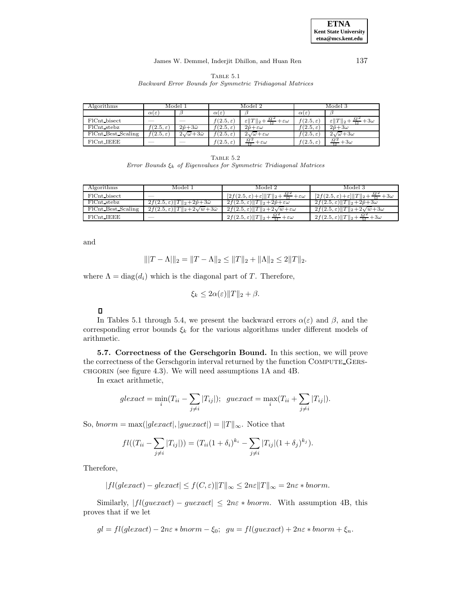### James W. Demmel, Inderjit Dhillon, and Huan Ren 137

Table 5.1 Backward Error Bounds for Symmetric Tridiagonal Matrices

| Algorithms                | Model 1                  |                                | Model 2               |                                                              | Model 3               |                                    |
|---------------------------|--------------------------|--------------------------------|-----------------------|--------------------------------------------------------------|-----------------------|------------------------------------|
|                           | $\alpha(\varepsilon)$    |                                | $\alpha(\varepsilon)$ |                                                              | $\alpha(\varepsilon)$ |                                    |
| FlCnt bisect              | ___                      | $\sim$                         | $f(2.5,\varepsilon)$  | $\bar{M}^2$<br>$\varepsilon$   T  2+<br>$+\varepsilon\omega$ | $f(2.5,\varepsilon)$  | $\varepsilon$   T  2<br>$+3\omega$ |
| $\overline{FIC}$ nt stebz | $f(2.5,\varepsilon)$     | $2\hat{p}+3\bar{\omega}$       | $(2.5,\varepsilon)$   | $2\hat{p}+\varepsilon\omega$                                 | $f(2.5,\varepsilon)$  | $2\hat{p}+3\omega$                 |
| FlCnt Best Scaling        | $f(2.5,\varepsilon)$     | $2\sqrt{\omega}+3\bar{\omega}$ | $f(2.5,\varepsilon)$  | $2\sqrt{\omega+\varepsilon\omega}$                           | $f(2.5,\varepsilon)$  | $2\sqrt{\omega}+3\omega$           |
| $F1Cnt$ IEEE              | $\overline{\phantom{a}}$ | $\sim$                         | $f(2.5,\varepsilon)$  | $\bar{M}^2$<br>$+\varepsilon\omega$                          | $f(2.5,\varepsilon)$  | $\bar{M}^2$<br>$+3\omega$          |

| ., |  |
|----|--|
|    |  |

Error Bounds  $\xi_k$  of Eigenvalues for Symmetric Tridiagonal Matrices

| Algorithms         | Model 1                                                            | Model 2                                                                               | Model 3                                                                     |
|--------------------|--------------------------------------------------------------------|---------------------------------------------------------------------------------------|-----------------------------------------------------------------------------|
| FlCnt_bisect       |                                                                    | $[2f(2.5,\varepsilon)+\varepsilon]\ T\ _2+\frac{\bar{M}^2}{\Omega}+\varepsilon\omega$ | $[2f(2.5,\varepsilon)+\varepsilon] \ T\ _2 + \frac{\bar{M}^2}{2} + 3\omega$ |
| FlCnt_stebz        | $2f(2.5,\varepsilon)$   T   $2+2\hat{p}+3\bar{\omega}$             | $2f(2.5,\varepsilon)$    $T$    <sub>2</sub> +2 $\hat{p}$ + $\varepsilon\omega$       | $2f(2.5,\varepsilon)\ \overline{T}\ _2+2\hat{p}+3\omega$                    |
| FlCnt_Best_Scaling | $2f(2.5,\varepsilon)$    $T$    $\sqrt{2+2\sqrt{w+3\bar{\omega}}}$ | $2f(2.5,\varepsilon)$   T   <sub>2</sub> +2 $\sqrt{w}$ + $\varepsilon\omega$          | $2f(2.5,\varepsilon)$   T   $2+2\sqrt{w}+3\omega$                           |
| $FICnt_I EEE$      |                                                                    | $2f(2.5,\varepsilon)\ T\ _2+\frac{\bar{M}^2}{\Omega}+\varepsilon\omega$               | $-\frac{M^2}{2}+3\omega$<br>$2f(2.5,\varepsilon)\ T\ _2+\frac{\Lambda}{2}$  |

and

$$
\| |T - \Lambda| \|_2 = \|T - \Lambda \|_2 \le \|T\|_2 + \|\Lambda\|_2 \le 2\|T\|_2.
$$

where  $\Lambda = \text{diag}(d_i)$  which is the diagonal part of T. Therefore,

$$
\xi_k \leq 2\alpha(\varepsilon) \|T\|_2 + \beta.
$$

 $\Box$ 

In Tables 5.1 through 5.4, we present the backward errors  $\alpha(\varepsilon)$  and  $\beta$ , and the corresponding error bounds  $\xi_k$  for the various algorithms under different models of arithmetic.

**5.7. Correctness of the Gerschgorin Bound.** In this section, we will prove the correctness of the Gerschgorin interval returned by the function Compute Gerschgorin (see figure 4.3). We will need assumptions 1A and 4B.

In exact arithmetic,

$$
glexact = \min_i (T_{ii} - \sum_{j \neq i} |T_{ij}|); \ \ guexcct = \max_i (T_{ii} + \sum_{j \neq i} |T_{ij}|).
$$

So, bnorm = max(|glexact|, |guexact|) =  $||T||_{\infty}$ . Notice that

$$
fl((T_{ii} - \sum_{j \neq i} |T_{ij}|)) = (T_{ii}(1 + \delta_i)^{k_i} - \sum_{j \neq i} |T_{ij}|(1 + \delta_j)^{k_j}).
$$

Therefore,

$$
|fl(glexact) - glexact| \le f(C, \varepsilon) ||T||_{\infty} \le 2n\varepsilon ||T||_{\infty} = 2n\varepsilon * bnorm.
$$

Similarly,  $|fl(gue\,) - guexact| \leq 2n\varepsilon * bnorm$ . With assumption 4B, this proves that if we let

 $gl = fl(glexact) - 2n\varepsilon *bnorm - \xi_0$ ;  $gu = fl(guexcct) + 2n\varepsilon *bnorm + \xi_n$ .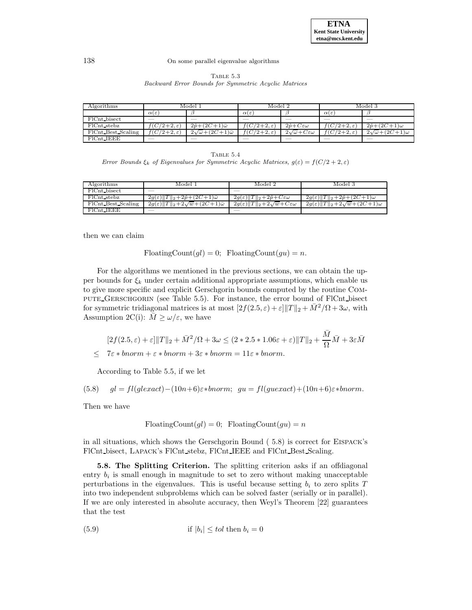Table 5.3 Backward Error Bounds for Symmetric Acyclic Matrices

| Algorithms                |                        | Model :                             | Model 2                |                                  |                        | Model 3                            |
|---------------------------|------------------------|-------------------------------------|------------------------|----------------------------------|------------------------|------------------------------------|
|                           | $\alpha(\varepsilon)$  |                                     | $\alpha(\varepsilon)$  |                                  | $\alpha(\varepsilon)$  |                                    |
| FlCnt_bisect              |                        |                                     |                        |                                  |                        |                                    |
| $\overline{FIC}$ nt stebz | $7/2+2,\varepsilon$    | $2\hat{p}+(2C+1)\bar{\omega}$       | $C(2+2,\varepsilon)$   | $2\hat{p}+C\varepsilon\omega$    | $f(C/2+2,\varepsilon)$ | $2\hat{p}+(2\overline{C+1})\omega$ |
| FlCnt Best Scaling        | $f(C/2+2,\varepsilon)$ | $2\sqrt{\omega}+(2C+1)\bar{\omega}$ | $f(C/2+2,\varepsilon)$ | $2\sqrt{\omega}+C\epsilon\omega$ | $f(C/2+2,\varepsilon)$ | $2\sqrt{\omega}+(2C+1)\omega$      |
| $FICnt$ JEEE              |                        | ___                                 |                        |                                  |                        |                                    |

TABLE  $5.4$ Error Bounds  $\xi_k$  of Eigenvalues for Symmetric Acyclic Matrices,  $g(\varepsilon) = f(C/2+2, \varepsilon)$ 

| Algorithms         | Model 1                                                                      | Model 2                                                                  | Model 3                                                            |
|--------------------|------------------------------------------------------------------------------|--------------------------------------------------------------------------|--------------------------------------------------------------------|
| FlCnt_bisect       |                                                                              |                                                                          |                                                                    |
| FlCnt_stebz        | $2g(\varepsilon)$   T   <sub>2</sub> +2 $\hat{p}$ +(2C+1) $\bar{\omega}$     | $2g(\varepsilon)$   T   <sub>2</sub> +2 $\hat{p}$ +C $\varepsilon\omega$ | $2g(\varepsilon)$   T   <sub>2</sub> +2 $\hat{p}$ +(2C+1) $\omega$ |
| FlCnt Best Scaling | $2g(\varepsilon)$   T  2+2 $\sqrt{w}$ + $(2\overline{C+1})\overline{\omega}$ | $2g(\varepsilon)$   T  2+2 $\sqrt{w}$ +C $\varepsilon\omega$             | $2g(\varepsilon)$   T  2+2 $\sqrt{w}$ +(2C+1) $\omega$             |
| FlCnt IEEE         |                                                                              |                                                                          |                                                                    |

then we can claim

FloatingCount $(gl) = 0$ ; FloatingCount $(gu) = n$ .

For the algorithms we mentioned in the previous sections, we can obtain the upper bounds for  $\xi_k$  under certain additional appropriate assumptions, which enable us to give more specific and explicit Gerschgorin bounds computed by the routine Compute Gerschgorin (see Table 5.5). For instance, the error bound of FlCnt bisect for symmetric tridiagonal matrices is at most  $[2f(2.5,\varepsilon)+\varepsilon] \|T\|_2 + \bar{M}^2/\Omega + 3\omega$ , with Assumption 2C(i):  $\overline{M} \ge \omega/\varepsilon$ , we have

$$
[2f(2.5, \varepsilon) + \varepsilon] \|T\|_2 + \bar{M}^2/\Omega + 3\omega \le (2 \times 2.5 \times 1.06\varepsilon + \varepsilon) \|T\|_2 + \frac{\bar{M}}{\Omega} \bar{M} + 3\varepsilon \bar{M}
$$
  

$$
\le 7\varepsilon \times \text{bnorm} + \varepsilon \times \text{bnorm} + 3\varepsilon \times \text{bnorm} = 11\varepsilon \times \text{bnorm}.
$$

According to Table 5.5, if we let

(5.8) 
$$
gl = fl(glexact) - (10n+6)\varepsilon *bnorm
$$
;  $gu = fl(guexact) + (10n+6)\varepsilon *bnorm$ .

Then we have

$$
FloatingCount(gl) = 0; \tFloatingCount(gu) = n
$$

in all situations, which shows the Gerschgorin Bound ( 5.8) is correct for Eispack's FlCnt bisect, Lapack's FlCnt stebz, FlCnt IEEE and FlCnt Best Scaling.

**5.8. The Splitting Criterion.** The splitting criterion asks if an offdiagonal entry  $b_i$  is small enough in magnitude to set to zero without making unacceptable perturbations in the eigenvalues. This is useful because setting  $b_i$  to zero splits  $T$ into two independent subproblems which can be solved faster (serially or in parallel). If we are only interested in absolute accuracy, then Weyl's Theorem [22] guarantees that the test

(5.9) if 
$$
|b_i| \leq tol
$$
 then  $b_i = 0$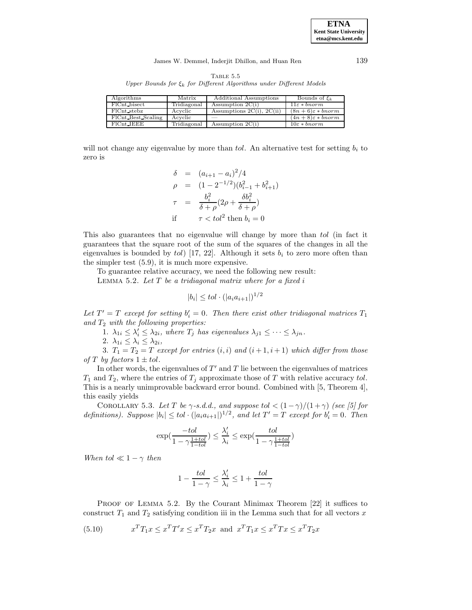## James W. Demmel, Inderjit Dhillon, and Huan Ren 139

TABLE  $5.5$ Upper Bounds for  $\xi_k$  for Different Algorithms under Different Models

| Algorithms         | Matrix      | Additional Assumptions         | Bounds of $\xi_k$           |
|--------------------|-------------|--------------------------------|-----------------------------|
| FlCnt_bisect       | Tridiagonal | Assumption $2C(i)$             | $11\varepsilon * bnorm$     |
| FlCnt_stebz        | Acyclic     | Assumptions $2C(i)$ , $2C(ii)$ | $(8n+6)\varepsilon * bnorm$ |
| FlCnt_Best_Scaling | Acvelic     |                                | $(4n+8)\varepsilon *bnorm$  |
| $FlCnt$ IEEE       | Tridiagonal | $\overline{Assumption 2C(i)}$  | $10\varepsilon * bnorm$     |

will not change any eigenvalue by more than tol. An alternative test for setting  $b_i$  to zero is

$$
\delta = (a_{i+1} - a_i)^2 / 4
$$
  
\n
$$
\rho = (1 - 2^{-1/2})(b_{i-1}^2 + b_{i+1}^2)
$$
  
\n
$$
\tau = \frac{b_i^2}{\delta + \rho}(2\rho + \frac{\delta b_i^2}{\delta + \rho})
$$
  
\nif  $\tau < \omega l^2$  then  $b_i = 0$ 

This also guarantees that no eigenvalue will change by more than tol (in fact it guarantees that the square root of the sum of the squares of the changes in all the eigenvalues is bounded by tol) [17, 22]. Although it sets  $b_i$  to zero more often than the simpler test (5.9), it is much more expensive.

To guarantee relative accuracy, we need the following new result:

LEMMA 5.2. Let  $T$  be a tridiagonal matrix where for a fixed i

$$
|b_i| \leq tol \cdot (|a_i a_{i+1}|)^{1/2}
$$

Let  $T' = T$  except for setting  $b_i' = 0$ . Then there exist other tridiagonal matrices  $T_1$ and  $T_2$  with the following properties:

1.  $\lambda_{1i} \leq \lambda'_i \leq \lambda_{2i}$ , where  $T_j$  has eigenvalues  $\lambda_{j1} \leq \cdots \leq \lambda_{jn}$ .

2.  $\lambda_{1i} \leq \lambda_i \leq \lambda_{2i}$ ,

3.  $T_1 = T_2 = T$  except for entries  $(i,i)$  and  $(i+1,i+1)$  which differ from those of T by factors  $1 \pm tol$ .

In other words, the eigenvalues of  $T'$  and  $T$  lie between the eigenvalues of matrices  $T_1$  and  $T_2$ , where the entries of  $T_i$  approximate those of T with relative accuracy tol. This is a nearly unimprovable backward error bound. Combined with [5, Theorem 4], this easily yields

COROLLARY 5.3. Let T be  $\gamma$ -s.d.d., and suppose to  $\frac{1}{\gamma}$  (1 +  $\gamma$ ) (see [5] for definitions). Suppose  $|b_i| \leq tol \cdot (|a_i a_{i+1}|)^{1/2}$ , and let  $T' = T$  except for  $b'_i = 0$ . Then

$$
\exp(\frac{-tol}{1 - \gamma \frac{1 + tol}{1 - tol}}) \le \frac{\lambda_i'}{\lambda_i} \le \exp(\frac{tol}{1 - \gamma \frac{1 + tol}{1 - tol}})
$$

When tol  $\ll 1 - \gamma$  then

$$
1 - \frac{tol}{1 - \gamma} \le \frac{\lambda'_i}{\lambda_i} \le 1 + \frac{tol}{1 - \gamma}
$$

PROOF OF LEMMA 5.2. By the Courant Minimax Theorem [22] it suffices to construct  $T_1$  and  $T_2$  satisfying condition iii in the Lemma such that for all vectors x

(5.10) 
$$
x^T T_1 x \le x^T T' x \le x^T T_2 x
$$
 and  $x^T T_1 x \le x^T T x \le x^T T_2 x$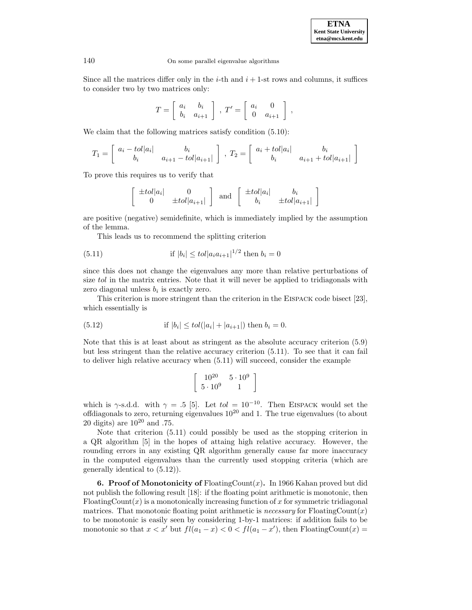**ETNA Kent State University etna@mcs.kent.edu**

,

#### 140 On some parallel eigenvalue algorithms

Since all the matrices differ only in the *i*-th and  $i + 1$ -st rows and columns, it suffices to consider two by two matrices only:

$$
T = \left[ \begin{array}{cc} a_i & b_i \\ b_i & a_{i+1} \end{array} \right], \ T' = \left[ \begin{array}{cc} a_i & 0 \\ 0 & a_{i+1} \end{array} \right]
$$

We claim that the following matrices satisfy condition  $(5.10)$ :

$$
T_1 = \begin{bmatrix} a_i - tol |a_i| & b_i \\ b_i & a_{i+1} - tol |a_{i+1}| \end{bmatrix}, T_2 = \begin{bmatrix} a_i + tol |a_i| & b_i \\ b_i & a_{i+1} + tol |a_{i+1}| \end{bmatrix}
$$

To prove this requires us to verify that

$$
\left[\begin{array}{cc} \pm tol|a_i| & 0\\ 0 & \pm tol|a_{i+1}| \end{array}\right] \text{ and } \left[\begin{array}{cc} \pm tol|a_i| & b_i\\ b_i & \pm tol|a_{i+1}| \end{array}\right]
$$

are positive (negative) semidefinite, which is immediately implied by the assumption of the lemma.

This leads us to recommend the splitting criterion

(5.11) if 
$$
|b_i| \leq tol |a_i a_{i+1}|^{1/2}
$$
 then  $b_i = 0$ 

since this does not change the eigenvalues any more than relative perturbations of size tol in the matrix entries. Note that it will never be applied to tridiagonals with zero diagonal unless  $b_i$  is exactly zero.

This criterion is more stringent than the criterion in the Eispack code bisect [23], which essentially is

(5.12) if 
$$
|b_i| \leq tol(|a_i| + |a_{i+1}|)
$$
 then  $b_i = 0$ .

Note that this is at least about as stringent as the absolute accuracy criterion (5.9) but less stringent than the relative accuracy criterion (5.11). To see that it can fail to deliver high relative accuracy when (5.11) will succeed, consider the example

$$
\left[\begin{array}{cc}10^{20}&5\cdot10^9\\5\cdot10^9&1\end{array}\right]
$$

which is  $\gamma$ -s.d.d. with  $\gamma = .5$  [5]. Let  $tol = 10^{-10}$ . Then EISPACK would set the offdiagonals to zero, returning eigenvalues  $10^{20}$  and 1. The true eigenvalues (to about 20 digits) are  $10^{20}$  and .75.

Note that criterion (5.11) could possibly be used as the stopping criterion in a QR algorithm [5] in the hopes of attaing high relative accuracy. However, the rounding errors in any existing QR algorithm generally cause far more inaccuracy in the computed eigenvalues than the currently used stopping criteria (which are generally identical to (5.12)).

**6. Proof of Monotonicity of** FloatingCount(x)**.** In 1966 Kahan proved but did not publish the following result [18]: if the floating point arithmetic is monotonic, then FloatingCount(x) is a monotonically increasing function of x for symmetric tridiagonal matrices. That monotonic floating point arithmetic is *necessary* for  $\text{FloatingCount}(x)$ to be monotonic is easily seen by considering 1-by-1 matrices: if addition fails to be monotonic so that  $x < x'$  but  $fl(a_1 - x) < 0 < fl(a_1 - x')$ , then FloatingCount $(x) =$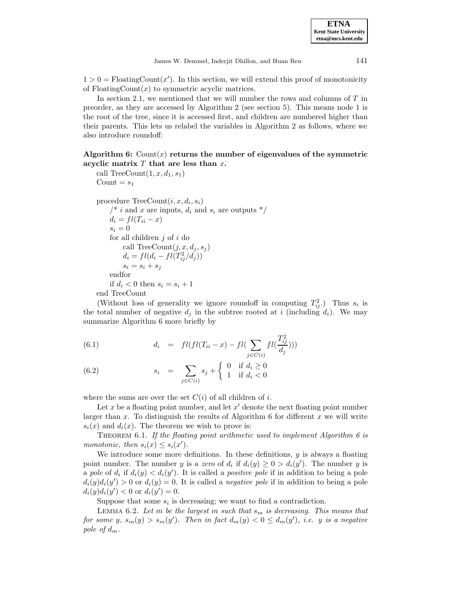$1 > 0 = \text{FloatingCount}(x')$ . In this section, we will extend this proof of monotonicity of  $\text{FloatingCount}(x)$  to symmetric acyclic matrices.

In section 2.1, we mentioned that we will number the rows and columns of  $T$  in preorder, as they are accessed by Algorithm 2 (see section 5). This means node 1 is the root of the tree, since it is accessed first, and children are numbered higher than their parents. This lets us relabel the variables in Algorithm 2 as follows, where we also introduce roundoff:

**Algorithm 6:** Count(x) **returns the number of eigenvalues of the symmetric acyclic matrix** T **that are less than** x**.**

```
call TreeCount(1, x, d_1, s_1)Count = s_1procedure TreeCount(i, x, d_i, s_i)/* i and x are inputs, d_i and s_i are outputs \sqrt[k]{\ }d_i = fl(T_{ii} - x)s_i = 0for all children j of i do
     call TreeCount(i, x, d_i, s_i)d_i = fl(d_i - fl(T_{ij}^2/d_j))s_i = s_i + s_jendfor
if d_i < 0 then s_i = s_i + 1end TreeCount
```
(Without loss of generality we ignore roundoff in computing  $T_{ij}^2$ .) Thus  $s_i$  is the total number of negative  $d_j$  in the subtree rooted at i (including  $d_i$ ). We may summarize Algorithm 6 more briefly by

(6.1) 
$$
d_i = fl(fl(T_{ii} - x) - fl(\sum_{j \in C(i)}fl(\frac{T_{ij}^2}{d_j})))
$$

(6.2) 
$$
s_i = \sum_{j \in C(i)} s_j + \begin{cases} 0 & \text{if } d_i \ge 0 \\ 1 & \text{if } d_i < 0 \end{cases}
$$

where the sums are over the set  $C(i)$  of all children of i.

Let x be a floating point number, and let  $x'$  denote the next floating point number larger than x. To distinguish the results of Algorithm 6 for different x we will write  $s_i(x)$  and  $d_i(x)$ . The theorem we wish to prove is:

THEOREM 6.1. If the floating point arithmetic used to implement Algorithm 6 is monotonic, then  $s_i(x) \leq s_i(x')$ .

We introduce some more definitions. In these definitions,  $y$  is always a floating point number. The number y is a zero of  $d_i$  if  $d_i(y) \geq 0 > d_i(y')$ . The number y is a pole of  $d_i$  if  $d_i(y) < d_i(y')$ . It is called a positive pole if in addition to being a pole  $d_i(y)d_i(y') > 0$  or  $d_i(y) = 0$ . It is called a *negative pole* if in addition to being a pole  $d_i(y)d_i(y') < 0$  or  $d_i(y') = 0$ .

Suppose that some  $s_i$  is decreasing; we want to find a contradiction.

LEMMA 6.2. Let m be the largest m such that  $s_m$  is decreasing. This means that for some y,  $s_m(y) > s_m(y')$ . Then in fact  $d_m(y) < 0 \le d_m(y')$ , i.e. y is a negative pole of  $d_m$ .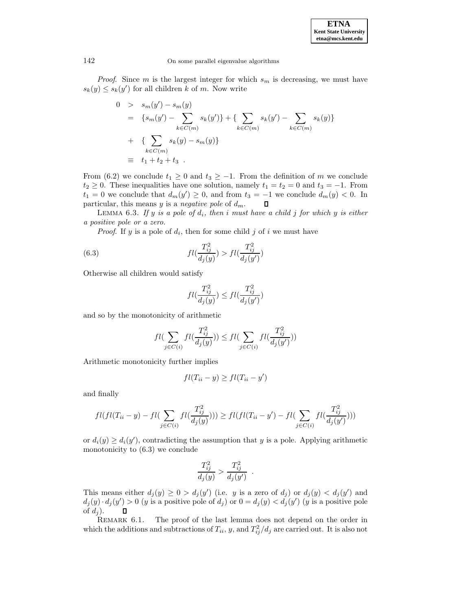**ETNA Kent State University etna@mcs.kent.edu**

# 142 On some parallel eigenvalue algorithms

*Proof.* Since m is the largest integer for which  $s_m$  is decreasing, we must have  $s_k(y) \leq s_k(y')$  for all children k of m. Now write

$$
0 > s_m(y') - s_m(y)
$$
  
=  $\{s_m(y') - \sum_{k \in C(m)} s_k(y')\} + \{\sum_{k \in C(m)} s_k(y') - \sum_{k \in C(m)} s_k(y)\}$   
+  $\{\sum_{k \in C(m)} s_k(y) - s_m(y)\}$   
 $\equiv t_1 + t_2 + t_3.$ 

From (6.2) we conclude  $t_1 \geq 0$  and  $t_3 \geq -1$ . From the definition of m we conclude  $t_2 \geq 0$ . These inequalities have one solution, namely  $t_1 = t_2 = 0$  and  $t_3 = -1$ . From  $t_1 = 0$  we conclude that  $d_m(y') \geq 0$ , and from  $t_3 = -1$  we conclude  $d_m(y) < 0$ . In particular, this means  $y$  is a negative pole of  $d_m$ .  $\Box$ 

LEMMA 6.3. If y is a pole of  $d_i$ , then i must have a child j for which y is either a positive pole or a zero.

*Proof.* If y is a pole of  $d_i$ , then for some child j of i we must have

(6.3) 
$$
fl(\frac{T_{ij}^2}{d_j(y)}) > fl(\frac{T_{ij}^2}{d_j(y')})
$$

Otherwise all children would satisfy

$$
fl(\frac{T_{ij}^2}{d_j(y)})\leq fl(\frac{T_{ij}^2}{d_j(y')})
$$

and so by the monotonicity of arithmetic

$$
fl(\sum_{j \in C(i)}fl(\frac{T_{ij}^2}{d_j(y)})) \le fl(\sum_{j \in C(i)}fl(\frac{T_{ij}^2}{d_j(y')}))
$$

Arithmetic monotonicity further implies

$$
fl(T_{ii} - y) \ge fl(T_{ii} - y')
$$

and finally

$$
fl(fl(T_{ii} - y) - fl(\sum_{j \in C(i)}fl(\frac{T_{ij}^2}{d_j(y)}))) \ge fl(fl(T_{ii} - y') - fl(\sum_{j \in C(i)}fl(\frac{T_{ij}^2}{d_j(y'})))
$$

or  $d_i(y) \geq d_i(y')$ , contradicting the assumption that y is a pole. Applying arithmetic monotonicity to (6.3) we conclude

$$
\frac{T_{ij}^2}{d_j(y)} > \frac{T_{ij}^2}{d_j(y')}.
$$

This means either  $d_j(y) \geq 0 > d_j(y')$  (i.e. y is a zero of  $d_j$ ) or  $d_j(y) < d_j(y')$  and  $d_j(y) \cdot d_j(y') > 0$  (y is a positive pole of  $d_j$ ) or  $0 = d_j(y) < d_j(y')$  (y is a positive pole of  $d_j$ ).  $\Box$ 

REMARK 6.1. The proof of the last lemma does not depend on the order in which the additions and subtractions of  $T_{ii}$ , y, and  $T_{ij}^2/d_j$  are carried out. It is also not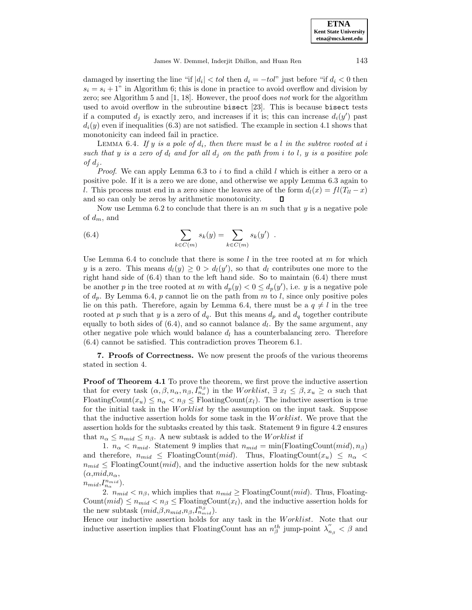damaged by inserting the line "if  $|d_i| < tol$  then  $d_i = -tol$ " just before "if  $d_i < 0$  then  $s_i = s_i + 1$ " in Algorithm 6; this is done in practice to avoid overflow and division by zero; see Algorithm 5 and [1, 18]. However, the proof does not work for the algorithm used to avoid overflow in the subroutine bisect [23]. This is because bisect tests if a computed  $d_j$  is exactly zero, and increases if it is; this can increase  $d_i(y')$  past  $d_i(y)$  even if inequalities (6.3) are not satisfied. The example in section 4.1 shows that monotonicity can indeed fail in practice.

LEMMA 6.4. If y is a pole of  $d_i$ , then there must be a l in the subtree rooted at i such that y is a zero of  $d_l$  and for all  $d_i$  on the path from i to l, y is a positive pole of  $d_i$ .

*Proof.* We can apply Lemma 6.3 to i to find a child l which is either a zero or a positive pole. If it is a zero we are done, and otherwise we apply Lemma 6.3 again to l. This process must end in a zero since the leaves are of the form  $d_l(x) = fl(T_{ll} - x)$ and so can only be zeros by arithmetic monotonicity.

Now use Lemma 6.2 to conclude that there is an  $m$  such that  $y$  is a negative pole of  $d_m$ , and

(6.4) 
$$
\sum_{k \in C(m)} s_k(y) = \sum_{k \in C(m)} s_k(y') .
$$

Use Lemma 6.4 to conclude that there is some  $l$  in the tree rooted at m for which y is a zero. This means  $d_l(y) \geq 0 > d_l(y')$ , so that  $d_l$  contributes one more to the right hand side of  $(6.4)$  than to the left hand side. So to maintain  $(6.4)$  there must be another p in the tree rooted at m with  $d_p(y) < 0 \leq d_p(y')$ , i.e. y is a negative pole of  $d_p$ . By Lemma 6.4, p cannot lie on the path from m to l, since only positive poles lie on this path. Therefore, again by Lemma 6.4, there must be a  $q \neq l$  in the tree rooted at p such that y is a zero of  $d_q$ . But this means  $d_p$  and  $d_q$  together contribute equally to both sides of  $(6.4)$ , and so cannot balance  $d_l$ . By the same argument, any other negative pole which would balance  $d_l$  has a counterbalancing zero. Therefore (6.4) cannot be satisfied. This contradiction proves Theorem 6.1.

**7. Proofs of Correctness.** We now present the proofs of the various theorems stated in section 4.

**Proof of Theorem 4.1** To prove the theorem, we first prove the inductive assertion that for every task  $(\alpha, \beta, n_{\alpha}, n_{\beta}, I_{n_{\alpha}}^{n_{\beta}})$  in the Worklist,  $\exists x_l \leq \beta, x_u \geq \alpha$  such that FloatingCount $(x_u) \leq n_\alpha < n_\beta \leq$ FloatingCount $(x_l)$ . The inductive assertion is true for the initial task in the Worklist by the assumption on the input task. Suppose that the inductive assertion holds for some task in the Worklist. We prove that the assertion holds for the subtasks created by this task. Statement 9 in figure 4.2 ensures that  $n_{\alpha} \leq n_{mid} \leq n_{\beta}$ . A new subtask is added to the *Worklist* if

1.  $n_{\alpha} < n_{mid}$ . Statement 9 implies that  $n_{mid} = \min(\text{FloatingCount}(mid), n_{\beta})$ and therefore,  $n_{mid} \leq$  FloatingCount(*mid*). Thus, FloatingCount( $x_u$ )  $\leq n_{\alpha}$  $n_{mid} \leq$  FloatingCount(*mid*), and the inductive assertion holds for the new subtask  $(\alpha, mid, n_{\alpha},$ 

 $n_{mid}, I_{n_{\alpha}}^{n_{mid}}).$ 

2.  $n_{mid} < n_{\beta}$ , which implies that  $n_{mid} \geq$  FloatingCount(*mid*). Thus, Floating-Count $(mid) \leq n_{mid} < n_{\beta} \leq \text{FloatingCount}(x_l)$ , and the inductive assertion holds for the new subtask  $(mid, \beta, n_{mid}, n_{\beta}, I^{n_{\beta}}_{n_{mid}}).$ 

Hence our inductive assertion holds for any task in the Worklist. Note that our inductive assertion implies that FloatingCount has an  $n_{\beta}^{th}$  jump-point  $\lambda_{n_{\beta}}^{''} < \beta$  and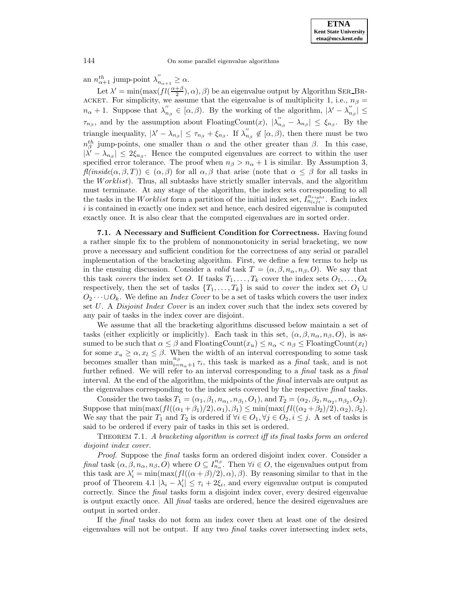an  $n_{\alpha+1}^{th}$  jump-point  $\lambda_{n_{\alpha+1}}^{''} \geq \alpha$ .

Let  $\lambda' = \min(\max(f l(\frac{\alpha + \beta}{2}), \alpha), \beta)$  be an eigenvalue output by Algorithm SER\_BR-ACKET. For simplicity, we assume that the eigenvalue is of multiplicity 1, i.e.,  $n_{\beta} =$  $n_{\alpha}+1$ . Suppose that  $\lambda_{n_{\beta}}^{''} \in [\alpha,\beta)$ . By the working of the algorithm,  $|\lambda'-\lambda_{n_{\beta}}^{''}| \leq$  $\tau_{n_\beta}$ , and by the assumption about FloatingCount $(x)$ ,  $|\lambda''_{n_\beta} - \lambda_{n_\beta}| \leq \xi_{n_\beta}$ . By the triangle inequality,  $|\lambda' - \lambda_{n_\beta}| \leq \tau_{n_\beta} + \xi_{n_\beta}$ . If  $\lambda''_{n_\beta} \notin [\alpha, \beta)$ , then there must be two  $n_{\beta}^{th}$  jump-points, one smaller than  $\alpha$  and the other greater than  $\beta$ . In this case,  $|\tilde{\lambda}' - \lambda_{n\beta}| \leq 2\xi_{n\beta}$ . Hence the computed eigenvalues are correct to within the user specified error tolerance. The proof when  $n<sub>\beta</sub> > n<sub>\alpha</sub> + 1$  is similar. By Assumption 3,  $f(niside(\alpha,\beta,T)) \in (\alpha,\beta)$  for all  $\alpha,\beta$  that arise (note that  $\alpha \leq \beta$  for all tasks in the Worklist). Thus, all subtasks have strictly smaller intervals, and the algorithm must terminate. At any stage of the algorithm, the index sets corresponding to all the tasks in the Worklist form a partition of the initial index set,  $I_{n_{left}}^{n_{right}}$ . Each index i is contained in exactly one index set and hence, each desired eigenvalue is computed exactly once. It is also clear that the computed eigenvalues are in sorted order.

**7.1. A Necessary and Sufficient Condition for Correctness.** Having found a rather simple fix to the problem of nonmonotonicity in serial bracketing, we now prove a necessary and sufficient condition for the correctness of any serial or parallel implementation of the bracketing algorithm. First, we define a few terms to help us in the ensuing discussion. Consider a valid task  $T = (\alpha, \beta, n_{\alpha}, n_{\beta}, O)$ . We say that this task covers the index set O. If tasks  $T_1, \ldots, T_k$  cover the index sets  $O_1, \ldots, O_k$ respectively, then the set of tasks  $\{T_1,\ldots,T_k\}$  is said to *cover* the index set  $O_1 \cup$  $O_2 \cdots \cup O_k$ . We define an *Index Cover* to be a set of tasks which covers the user index set U. A Disjoint Index Cover is an index cover such that the index sets covered by any pair of tasks in the index cover are disjoint.

We assume that all the bracketing algorithms discussed below maintain a set of tasks (either explicitly or implicitly). Each task in this set,  $(\alpha, \beta, n_\alpha, n_\beta, O)$ , is assumed to be such that  $\alpha \leq \beta$  and FloatingCount $(x_u) \leq n_\alpha < n_\beta \leq$  FloatingCount $(x_l)$ for some  $x_u \geq \alpha, x_l \leq \beta$ . When the width of an interval corresponding to some task becomes smaller than  $\min_{i=n_\alpha+1}^{n_\beta} \tau_i$ , this task is marked as a final task, and is not further refined. We will refer to an interval corresponding to a *final* task as a *final* interval. At the end of the algorithm, the midpoints of the *final* intervals are output as the eigenvalues corresponding to the index sets covered by the respective final tasks.

Consider the two tasks  $T_1 = (\alpha_1, \beta_1, n_{\alpha_1}, n_{\beta_1}, O_1)$ , and  $T_2 = (\alpha_2, \beta_2, n_{\alpha_2}, n_{\beta_2}, O_2)$ . Suppose that  $\min(\max(fI((\alpha_1+\beta_1)/2),\alpha_1),\beta_1) \leq \min(\max(fI((\alpha_2+\beta_2)/2),\alpha_2),\beta_2).$ We say that the pair  $T_1$  and  $T_2$  is ordered if  $\forall i \in O_1, \forall j \in O_2, i \leq j$ . A set of tasks is said to be ordered if every pair of tasks in this set is ordered.

THEOREM 7.1. A bracketing algorithm is correct iff its final tasks form an ordered disjoint index cover.

Proof. Suppose the *final* tasks form an ordered disjoint index cover. Consider a final task  $(\alpha, \beta, n_\alpha, n_\beta, O)$  where  $O \subseteq I_{n_\alpha}^{n_\beta}$ . Then  $\forall i \in O$ , the eigenvalues output from this task are  $\lambda'_i = \min(\max(f l((\alpha + \beta)/2), \alpha), \beta)$ . By reasoning similar to that in the proof of Theorem 4.1  $|\lambda_i - \lambda'_i| \leq \tau_i + 2\xi_i$ , and every eigenvalue output is computed correctly. Since the *final* tasks form a disjoint index cover, every desired eigenvalue is output exactly once. All final tasks are ordered, hence the desired eigenvalues are output in sorted order.

If the final tasks do not form an index cover then at least one of the desired eigenvalues will not be output. If any two *final* tasks cover intersecting index sets,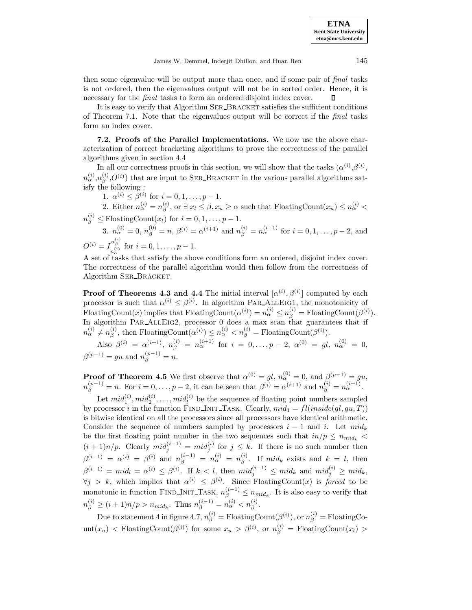then some eigenvalue will be output more than once, and if some pair of final tasks is not ordered, then the eigenvalues output will not be in sorted order. Hence, it is necessary for the final tasks to form an ordered disjoint index cover. Л

It is easy to verify that Algorithm SER\_BRACKET satisfies the sufficient conditions of Theorem 7.1. Note that the eigenvalues output will be correct if the final tasks form an index cover.

**7.2. Proofs of the Parallel Implementations.** We now use the above characterization of correct bracketing algorithms to prove the correctness of the parallel algorithms given in section 4.4

In all our correctness proofs in this section, we will show that the tasks  $(\alpha^{(i)},\beta^{(i)},\beta^{(i)})$  $n_{\alpha}^{(i)}, n_{\beta}^{(i)}, O^{(i)}$ ) that are input to SER\_BRACKET in the various parallel algorithms satisfy the following :

1.  $\alpha^{(i)} \leq \beta^{(i)}$  for  $i = 0, 1, \ldots, p - 1$ .

2. Either  $n_{\alpha}^{(i)} = n_{\beta}^{(i)}$ , or  $\exists x_l \leq \beta, x_u \geq \alpha$  such that FloatingCount $(x_u) \leq n_{\alpha}^{(i)} <$  $n_{\beta}^{(i)} \leq \text{FloatingCount}(x_i) \text{ for } i = 0, 1, \dots, p-1.$ 

3.  $n_{\alpha}^{(0)} = 0$ ,  $n_{\beta}^{(0)} = n$ ,  $\beta^{(i)} = \alpha^{(i+1)}$  and  $n_{\beta}^{(i)} = n_{\alpha}^{(i+1)}$  for  $i = 0, 1, \ldots, p-2$ , and  $O^{(i)} = I_{n_{\alpha}^{(i)}}^{n_{\beta}^{(i)}}$  for  $i = 0, 1, \dots, p-1$ .

A set of tasks that satisfy the above conditions form an ordered, disjoint index cover. The correctness of the parallel algorithm would then follow from the correctness of Algorithm SER\_BRACKET.

**Proof of Theorems 4.3 and 4.4** The initial interval  $[\alpha^{(i)}, \beta^{(i)}]$  computed by each processor is such that  $\alpha^{(i)} \leq \beta^{(i)}$ . In algorithm PAR\_ALLEIG1, the monotonicity of FloatingCount(x) implies that FloatingCount( $\alpha^{(i)}$ ) =  $n_{\alpha}^{(i)} \leq n_{\beta}^{(i)}$  = FloatingCount( $\beta^{(i)}$ ). In algorithm PAR ALLEIG2, processor 0 does a max scan that guarantees that if  $n_{\alpha}^{(i)} \neq n_{\beta}^{(i)}$ , then FloatingCount $(\alpha^{(i)}) \leq n_{\alpha}^{(i)} < n_{\beta}^{(i)} = \text{FloatingCount}(\beta^{(i)})$ .

Also  $\beta^{(i)}\ =\ \alpha^{(i+1)},\ \ n^{(i)}_\beta\ =\ n^{(i+1)}_\alpha\ \ \text{for}\ \ i\ =\ 0,\dots,p\ -\ 2,\ \alpha^{(0)}\ =\ gl,\ \ n^{(0)}_\alpha\ =\ 0,$  $\beta^{(p-1)} = gu$  and  $n_{\beta}^{(p-1)} = n$ .

**Proof of Theorem 4.5** We first observe that  $\alpha^{(0)} = gl$ ,  $n_{\alpha}^{(0)} = 0$ , and  $\beta^{(p-1)} = gu$ ,  $n_{\beta}^{(p-1)} = n.$  For  $i = 0, ..., p-2$ , it can be seen that  $\beta^{(i)} = \alpha^{(i+1)}$  and  $n_{\beta}^{(i)} = n_{\alpha}^{(i+1)}$ .

Let  $mid_1^{(i)}$ ,  $mid_2^{(i)}$ , ...,  $mid_i^{(i)}$  be the sequence of floating point numbers sampled by processor i in the function FIND INIT TASK. Clearly,  $mid_1 = filinside(d,qu,T)$ ) is bitwise identical on all the processors since all processors have identical arithmetic. Consider the sequence of numbers sampled by processors  $i - 1$  and i. Let  $mid_k$ be the first floating point number in the two sequences such that  $in/p \leq n_{mid_k}$  $(i+1)n/p$ . Clearly  $mid_j^{(i-1)} = mid_j^{(i)}$  for  $j \leq k$ . If there is no such number then  $\beta^{(i-1)} = \alpha^{(i)} = \beta^{(i)}$  and  $n_{\beta}^{(i-1)} = n_{\alpha}^{(i)} = n_{\beta}^{(i)}$ . If mid<sub>k</sub> exists and  $k = l$ , then  $\beta^{(i-1)} = mid_l = \alpha^{(i)} \leq \beta^{(i)}$ . If  $k < l$ , then  $mid_j^{(i-1)} \leq mid_k$  and  $mid_j^{(i)} \geq mid_k$ ,  $\forall j > k$ , which implies that  $\alpha^{(i)} \leq \beta^{(i)}$ . Since FloatingCount $(x)$  is forced to be monotonic in function FIND\_INIT\_TASK,  $n_{\beta}^{(i-1)} \leq n_{mid_k}$ . It is also easy to verify that  $n_{\beta}^{(i)} \geq (i+1)n/p > n_{mid_k}$ . Thus  $n_{\beta}^{(i-1)} = n_{\alpha}^{(i)} < n_{\beta}^{(i)}$ .

Due to statement 4 in figure 4.7,  $n_{\beta}^{(i)} = \text{FloatingCount}(\beta^{(i)}), \text{or } n_{\beta}^{(i)} = \text{FloatingCo-}$ unt $(x_u)$  < FloatingCount $(\beta^{(i)})$  for some  $x_u > \beta^{(i)}$ , or  $n_{\beta}^{(i)}$  = FloatingCount $(x_l)$  >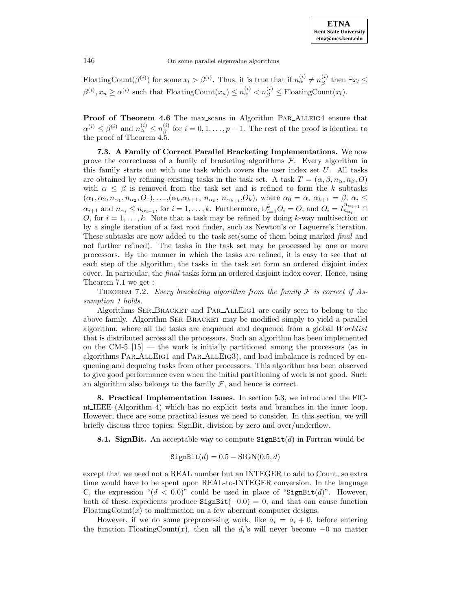FloatingCount $(\beta^{(i)})$  for some  $x_l > \beta^{(i)}$ . Thus, it is true that if  $n_{\alpha}^{(i)} \neq n_{\beta}^{(i)}$  then  $\exists x_l \leq$  $\beta^{(i)}$ ,  $x_u \ge \alpha^{(i)}$  such that FloatingCount $(x_u) \le n_\alpha^{(i)} < n_\beta^{(i)} \le \text{FloatingCount}(x_l)$ .

Proof of Theorem 4.6 The max scans in Algorithm PAR\_ALLEIG4 ensure that  $\alpha^{(i)} \leq \beta^{(i)}$  and  $n_{\alpha}^{(i)} \leq n_{\beta}^{(i)}$  for  $i = 0, 1, \ldots, p - 1$ . The rest of the proof is identical to the proof of Theorem 4.5.

**7.3. A Family of Correct Parallel Bracketing Implementations.** We now prove the correctness of a family of bracketing algorithms  $\mathcal{F}$ . Every algorithm in this family starts out with one task which covers the user index set  $U$ . All tasks are obtained by refining existing tasks in the task set. A task  $T = (\alpha, \beta, n_{\alpha}, n_{\beta}, O)$ with  $\alpha \leq \beta$  is removed from the task set and is refined to form the k subtasks  $(\alpha_1, \alpha_2, n_{\alpha_1}, n_{\alpha_2}, O_1), \ldots, (\alpha_k, \alpha_{k+1}, n_{\alpha_k}, n_{\alpha_{k+1}}, O_k)$ , where  $\alpha_0 = \alpha, \alpha_{k+1} = \beta, \alpha_i \leq$  $\alpha_{i+1}$  and  $n_{\alpha_i} \leq n_{\alpha_{i+1}}$ , for  $i = 1, \ldots, k$ . Furthermore,  $\cup_{i=1}^k O_i = O$ , and  $O_i = I_{n_{\alpha_i}}^{n_{\alpha_{i+1}}} \cap$ O, for  $i = 1, \ldots, k$ . Note that a task may be refined by doing k-way multisection or by a single iteration of a fast root finder, such as Newton's or Laguerre's iteration. These subtasks are now added to the task set(some of them being marked final and not further refined). The tasks in the task set may be processed by one or more processors. By the manner in which the tasks are refined, it is easy to see that at each step of the algorithm, the tasks in the task set form an ordered disjoint index cover. In particular, the *final* tasks form an ordered disjoint index cover. Hence, using Theorem 7.1 we get :

THEOREM 7.2. Every bracketing algorithm from the family  $\mathcal F$  is correct if Assumption 1 holds.

Algorithms Ser Bracket and Par AllEig1 are easily seen to belong to the above family. Algorithm SER\_BRACKET may be modified simply to yield a parallel algorithm, where all the tasks are enqueued and dequeued from a global Worklist that is distributed across all the processors. Such an algorithm has been implemented on the CM-5  $[15]$  — the work is initially partitioned among the processors (as in algorithms Par AllEig1 and Par AllEig3), and load imbalance is reduced by enqueuing and dequeing tasks from other processors. This algorithm has been observed to give good performance even when the initial partitioning of work is not good. Such an algorithm also belongs to the family  $\mathcal{F}$ , and hence is correct.

**8. Practical Implementation Issues.** In section 5.3, we introduced the FlCnt IEEE (Algorithm 4) which has no explicit tests and branches in the inner loop. However, there are some practical issues we need to consider. In this section, we will briefly discuss three topics: SignBit, division by zero and over/underflow.

**8.1. SignBit.** An acceptable way to compute  $SignBit(d)$  in Fortran would be

$$
\texttt{SignBit}(d) = 0.5 - \text{SIGN}(0.5, d)
$$

except that we need not a REAL number but an INTEGER to add to Count, so extra time would have to be spent upon REAL-to-INTEGER conversion. In the language C, the expression " $(d < 0.0)$ " could be used in place of "SignBit $(d)$ ". However, both of these expedients produce  $SignBit(-0.0) = 0$ , and that can cause function FloatingCount $(x)$  to malfunction on a few aberrant computer designs.

However, if we do some preprocessing work, like  $a_i = a_i + 0$ , before entering the function FloatingCount(x), then all the  $d_i$ 's will never become −0 no matter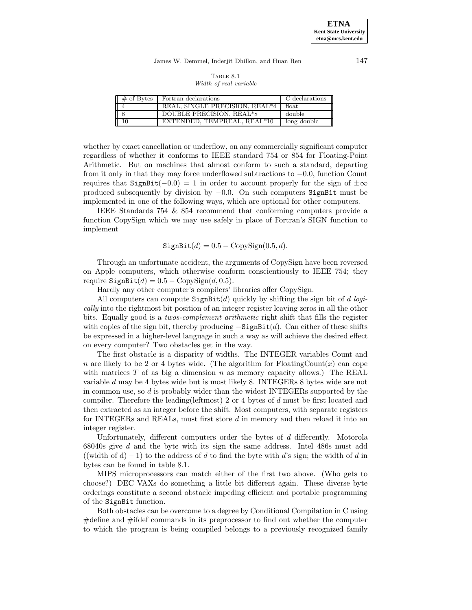James W. Demmel, Inderjit Dhillon, and Huan Ren 147

| TABLE 8.1 |  |  |                        |  |  |  |
|-----------|--|--|------------------------|--|--|--|
|           |  |  | Width of real variable |  |  |  |

| $\overline{+}$ of Bytes | Fortran declarations           | C declarations |
|-------------------------|--------------------------------|----------------|
|                         | REAL, SINGLE PRECISION, REAL*4 | float          |
|                         | DOUBLE PRECISION, REAL*8       | double         |
|                         | EXTENDED, TEMPREAL, REAL*10    | long double    |

whether by exact cancellation or underflow, on any commercially significant computer regardless of whether it conforms to IEEE standard 754 or 854 for Floating-Point Arithmetic. But on machines that almost conform to such a standard, departing from it only in that they may force underflowed subtractions to −0.0, function Count requires that SignBit(-0.0) = 1 in order to account properly for the sign of  $\pm \infty$ produced subsequently by division by  $-0.0$ . On such computers SignBit must be implemented in one of the following ways, which are optional for other computers.

IEEE Standards 754 & 854 recommend that conforming computers provide a function CopySign which we may use safely in place of Fortran's SIGN function to implement

$$
\texttt{SignBit}(d) = 0.5 - \text{CopySign}(0.5, d).
$$

Through an unfortunate accident, the arguments of CopySign have been reversed on Apple computers, which otherwise conform conscientiously to IEEE 754; they require  $\text{SignBit}(d) = 0.5 - \text{CopySign}(d, 0.5)$ .

Hardly any other computer's compilers' libraries offer CopySign.

All computers can compute  $SignBit(d)$  quickly by shifting the sign bit of d logically into the rightmost bit position of an integer register leaving zeros in all the other bits. Equally good is a twos-complement arithmetic right shift that fills the register with copies of the sign bit, thereby producing  $-Sigma$ ignBit(d). Can either of these shifts be expressed in a higher-level language in such a way as will achieve the desired effect on every computer? Two obstacles get in the way.

The first obstacle is a disparity of widths. The INTEGER variables Count and n are likely to be 2 or 4 bytes wide. (The algorithm for FloatingCount(x) can cope with matrices  $T$  of as big a dimension  $n$  as memory capacity allows.) The REAL variable d may be 4 bytes wide but is most likely 8. INTEGERs 8 bytes wide are not in common use, so  $d$  is probably wider than the widest INTEGERs supported by the compiler. Therefore the leading(leftmost) 2 or 4 bytes of d must be first located and then extracted as an integer before the shift. Most computers, with separate registers for INTEGERs and REALs, must first store d in memory and then reload it into an integer register.

Unfortunately, different computers order the bytes of d differently. Motorola 68040s give d and the byte with its sign the same address. Intel 486s must add ((width of d) − 1) to the address of d to find the byte with d's sign; the width of d in bytes can be found in table 8.1.

MIPS microprocessors can match either of the first two above. (Who gets to choose?) DEC VAXs do something a little bit different again. These diverse byte orderings constitute a second obstacle impeding efficient and portable programming of the SignBit function.

Both obstacles can be overcome to a degree by Conditional Compilation in C using #define and #ifdef commands in its preprocessor to find out whether the computer to which the program is being compiled belongs to a previously recognized family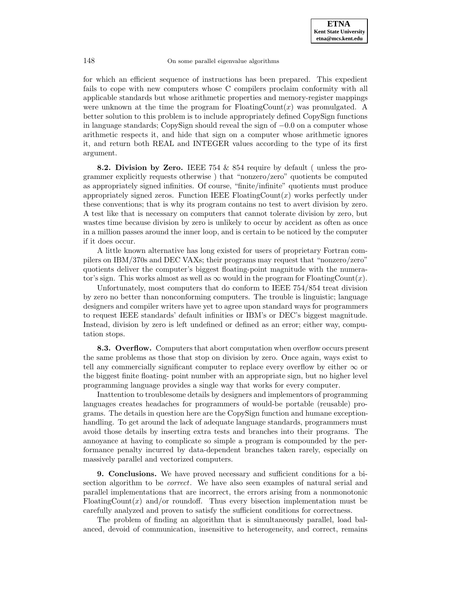for which an efficient sequence of instructions has been prepared. This expedient fails to cope with new computers whose C compilers proclaim conformity with all applicable standards but whose arithmetic properties and memory-register mappings were unknown at the time the program for  $F$ loatingCount $(x)$  was promulgated. A better solution to this problem is to include appropriately defined CopySign functions in language standards; CopySign should reveal the sign of −0.0 on a computer whose arithmetic respects it, and hide that sign on a computer whose arithmetic ignores it, and return both REAL and INTEGER values according to the type of its first argument.

**8.2. Division by Zero.** IEEE 754 & 854 require by default ( unless the programmer explicitly requests otherwise ) that "nonzero/zero" quotients be computed as appropriately signed infinities. Of course, "finite/infinite" quotients must produce appropriately signed zeros. Function IEEE FloatingCount $(x)$  works perfectly under these conventions; that is why its program contains no test to avert division by zero. A test like that is necessary on computers that cannot tolerate division by zero, but wastes time because division by zero is unlikely to occur by accident as often as once in a million passes around the inner loop, and is certain to be noticed by the computer if it does occur.

A little known alternative has long existed for users of proprietary Fortran compilers on IBM/370s and DEC VAXs; their programs may request that "nonzero/zero" quotients deliver the computer's biggest floating-point magnitude with the numerator's sign. This works almost as well as  $\infty$  would in the program for FloatingCount $(x)$ .

Unfortunately, most computers that do conform to IEEE 754/854 treat division by zero no better than nonconforming computers. The trouble is linguistic; language designers and compiler writers have yet to agree upon standard ways for programmers to request IEEE standards' default infinities or IBM's or DEC's biggest magnitude. Instead, division by zero is left undefined or defined as an error; either way, computation stops.

**8.3. Overflow.** Computers that abort computation when overflow occurs present the same problems as those that stop on division by zero. Once again, ways exist to tell any commercially significant computer to replace every overflow by either  $\infty$  or the biggest finite floating- point number with an appropriate sign, but no higher level programming language provides a single way that works for every computer.

Inattention to troublesome details by designers and implementors of programming languages creates headaches for programmers of would-be portable (reusable) programs. The details in question here are the CopySign function and humane exceptionhandling. To get around the lack of adequate language standards, programmers must avoid those details by inserting extra tests and branches into their programs. The annoyance at having to complicate so simple a program is compounded by the performance penalty incurred by data-dependent branches taken rarely, especially on massively parallel and vectorized computers.

**9. Conclusions.** We have proved necessary and sufficient conditions for a bisection algorithm to be correct. We have also seen examples of natural serial and parallel implementations that are incorrect, the errors arising from a nonmonotonic FloatingCount(x) and/or roundoff. Thus every bisection implementation must be carefully analyzed and proven to satisfy the sufficient conditions for correctness.

The problem of finding an algorithm that is simultaneously parallel, load balanced, devoid of communication, insensitive to heterogeneity, and correct, remains